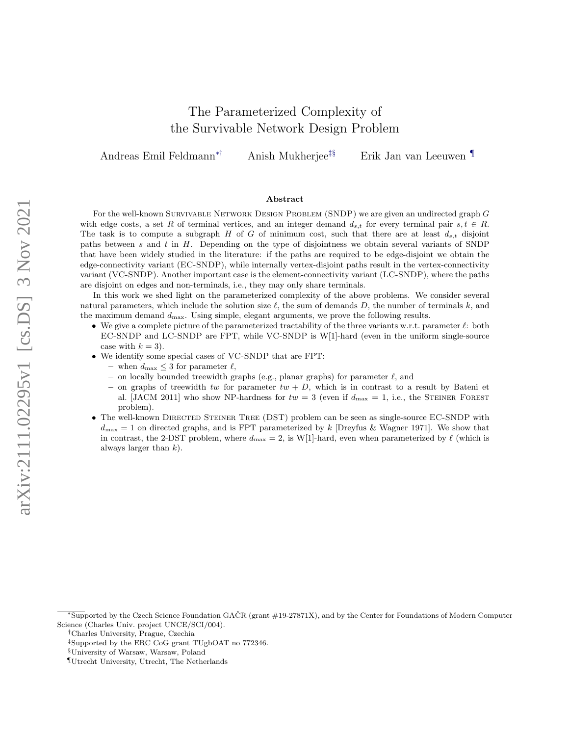# The Parameterized Complexity of the Survivable Network Design Problem

Andreas Emil Feldmann∗† Anish Mukherjee‡§ Erik Jan van Leeuwen ¶

## Abstract

For the well-known SURVIVABLE NETWORK DESIGN PROBLEM (SNDP) we are given an undirected graph G with edge costs, a set R of terminal vertices, and an integer demand  $d_{s,t}$  for every terminal pair  $s, t \in R$ . The task is to compute a subgraph H of G of minimum cost, such that there are at least  $d_{s,t}$  disjoint paths between  $s$  and  $t$  in  $H$ . Depending on the type of disjointness we obtain several variants of SNDP that have been widely studied in the literature: if the paths are required to be edge-disjoint we obtain the edge-connectivity variant (EC-SNDP), while internally vertex-disjoint paths result in the vertex-connectivity variant (VC-SNDP). Another important case is the element-connectivity variant (LC-SNDP), where the paths are disjoint on edges and non-terminals, i.e., they may only share terminals.

In this work we shed light on the parameterized complexity of the above problems. We consider several natural parameters, which include the solution size  $\ell$ , the sum of demands D, the number of terminals k, and the maximum demand  $d_{\text{max}}$ . Using simple, elegant arguments, we prove the following results.

- We give a complete picture of the parameterized tractability of the three variants w.r.t. parameter  $\ell$ : both EC-SNDP and LC-SNDP are FPT, while VC-SNDP is W[1]-hard (even in the uniform single-source case with  $k = 3$ ).
- We identify some special cases of VC-SNDP that are FPT:
	- when  $d_{\text{max}} \leq 3$  for parameter  $\ell$ ,
	- on locally bounded treewidth graphs (e.g., planar graphs) for parameter  $\ell$ , and
	- on graphs of treewidth tw for parameter  $tw + D$ , which is in contrast to a result by Bateni et al. [JACM 2011] who show NP-hardness for  $tw = 3$  (even if  $d_{\text{max}} = 1$ , i.e., the STEINER FOREST problem).
- The well-known DIRECTED STEINER TREE (DST) problem can be seen as single-source EC-SNDP with  $d_{\text{max}} = 1$  on directed graphs, and is FPT parameterized by k [Dreyfus & Wagner 1971]. We show that in contrast, the 2-DST problem, where  $d_{\text{max}} = 2$ , is W[1]-hard, even when parameterized by  $\ell$  (which is always larger than  $k$ ).

<sup>∗</sup>Supported by the Czech Science Foundation GACR (grant #19-27871X), and by the Center for Foundations of Modern Computer ˇ Science (Charles Univ. project UNCE/SCI/004).

<sup>†</sup>Charles University, Prague, Czechia

<sup>‡</sup>Supported by the ERC CoG grant TUgbOAT no 772346.

<sup>§</sup>University of Warsaw, Warsaw, Poland

<sup>¶</sup>Utrecht University, Utrecht, The Netherlands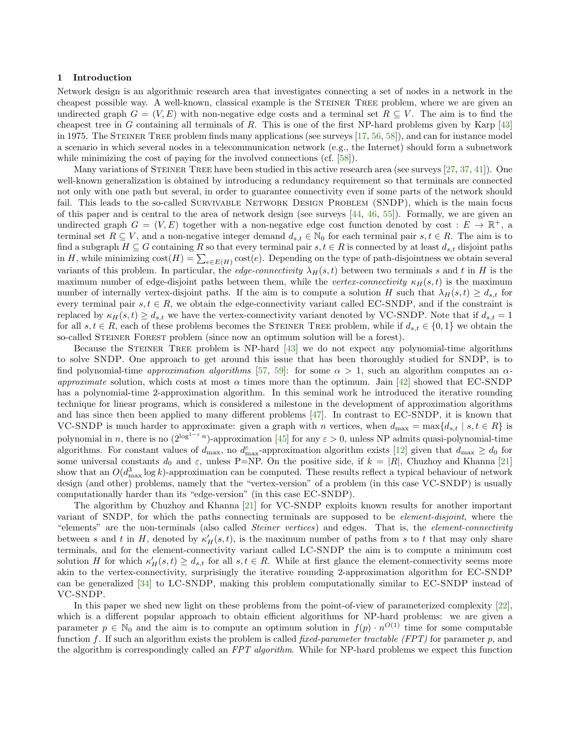#### 1 Introduction

Network design is an algorithmic research area that investigates connecting a set of nodes in a network in the cheapest possible way. A well-known, classical example is the STEINER TREE problem, where we are given an undirected graph  $G = (V, E)$  with non-negative edge costs and a terminal set  $R \subseteq V$ . The aim is to find the cheapest tree in G containing all terminals of R. This is one of the first NP-hard problems given by Karp  $[43]$ in 1975. The STEINER TREE problem finds many applications (see surveys  $[17, 56, 58]$  $[17, 56, 58]$  $[17, 56, 58]$  $[17, 56, 58]$  $[17, 56, 58]$ ), and can for instance model a scenario in which several nodes in a telecommunication network (e.g., the Internet) should form a subnetwork while minimizing the cost of paying for the involved connections (cf. [\[58\]](#page-20-1)).

Many variations of STEINER TREE have been studied in this active research area (see surveys [\[27,](#page-18-1) [37,](#page-19-1) [41\]](#page-19-2)). One well-known generalization is obtained by introducing a redundancy requirement so that terminals are connected not only with one path but several, in order to guarantee connectivity even if some parts of the network should fail. This leads to the so-called SURVIVABLE NETWORK DESIGN PROBLEM (SNDP), which is the main focus of this paper and is central to the area of network design (see surveys  $[44, 46, 55]$  $[44, 46, 55]$  $[44, 46, 55]$  $[44, 46, 55]$  $[44, 46, 55]$ ). Formally, we are given an undirected graph  $G = (V, E)$  together with a non-negative edge cost function denoted by cost :  $E \to \mathbb{R}^+$ , a terminal set  $R \subseteq V$ , and a non-negative integer demand  $d_{s,t} \in \mathbb{N}_0$  for each terminal pair  $s, t \in R$ . The aim is to find a subgraph  $H \subseteq G$  containing R so that every terminal pair  $s, t \in R$  is connected by at least  $d_{s,t}$  disjoint paths in H, while minimizing  $cost(H) = \sum_{e \in E(H)} cost(e)$ . Depending on the type of path-disjointness we obtain several variants of this problem. In particular, the *edge-connectivity*  $\lambda_H(s,t)$  between two terminals s and t in H is the maximum number of edge-disjoint paths between them, while the vertex-connectivity  $\kappa_H(s,t)$  is the maximum number of internally vertex-disjoint paths. If the aim is to compute a solution H such that  $\lambda_H(s,t) \geq d_{s,t}$  for every terminal pair  $s, t \in R$ , we obtain the edge-connectivity variant called EC-SNDP, and if the constraint is replaced by  $\kappa_H(s, t) \geq d_{s,t}$  we have the vertex-connectivity variant denoted by VC-SNDP. Note that if  $d_{s,t} = 1$ for all  $s, t \in R$ , each of these problems becomes the STEINER TREE problem, while if  $d_{s,t} \in \{0,1\}$  we obtain the so-called STEINER FOREST problem (since now an optimum solution will be a forest).

Because the STEINER TREE problem is NP-hard  $[43]$  we do not expect any polynomial-time algorithms to solve SNDP. One approach to get around this issue that has been thoroughly studied for SNDP, is to find polynomial-time *approximation algorithms* [\[57,](#page-20-3) [59\]](#page-20-4): for some  $\alpha > 1$ , such an algorithm computes an  $\alpha$ approximate solution, which costs at most  $\alpha$  times more than the optimum. Jain [\[42\]](#page-19-5) showed that EC-SNDP has a polynomial-time 2-approximation algorithm. In this seminal work he introduced the iterative rounding technique for linear programs, which is considered a milestone in the development of approximation algorithms and has since then been applied to many different problems  $[47]$ . In contrast to EC-SNDP, it is known that VC-SNDP is much harder to approximate: given a graph with n vertices, when  $d_{\max} = \max\{d_{s,t} \mid s,t \in R\}$  is polynomial in n, there is no  $(2^{\log^{1-\varepsilon} n})$ -approximation [\[45\]](#page-19-7) for any  $\varepsilon > 0$ , unless NP admits quasi-polynomial-time algorithms. For constant values of  $d_{\text{max}}$ , no  $d_{\text{max}}^{\varepsilon}$ -approximation algorithm exists [\[12\]](#page-17-0) given that  $d_{\text{max}} \geq d_0$  for some universal constants  $d_0$  and  $\varepsilon$ , unless P=NP. On the positive side, if  $k = |R|$ , Chuzhoy and Khanna [\[21\]](#page-18-2) show that an  $O(d_{\max}^3 \log k)$ -approximation can be computed. These results reflect a typical behaviour of network design (and other) problems, namely that the "vertex-version" of a problem (in this case VC-SNDP) is usually computationally harder than its "edge-version" (in this case EC-SNDP).

The algorithm by Chuzhoy and Khanna [\[21\]](#page-18-2) for VC-SNDP exploits known results for another important variant of SNDP, for which the paths connecting terminals are supposed to be *element-disjoint*, where the "elements" are the non-terminals (also called *Steiner vertices*) and edges. That is, the *element-connectivity* between s and t in H, denoted by  $\kappa'_H(s,t)$ , is the maximum number of paths from s to t that may only share terminals, and for the element-connectivity variant called LC-SNDP the aim is to compute a minimum cost solution H for which  $\kappa'_H(s,t) \geq d_{s,t}$  for all  $s,t \in R$ . While at first glance the element-connectivity seems more akin to the vertex-connectivity, surprisingly the iterative rounding 2-approximation algorithm for EC-SNDP can be generalized [\[34\]](#page-19-8) to LC-SNDP, making this problem computationally similar to EC-SNDP instead of VC-SNDP.

In this paper we shed new light on these problems from the point-of-view of parameterized complexity [\[22\]](#page-18-3), which is a different popular approach to obtain efficient algorithms for NP-hard problems: we are given a parameter  $p \in \mathbb{N}_0$  and the aim is to compute an optimum solution in  $f(p) \cdot n^{O(1)}$  time for some computable function f. If such an algorithm exists the problem is called fixed-parameter tractable (FPT) for parameter  $p$ , and the algorithm is correspondingly called an FPT algorithm. While for NP-hard problems we expect this function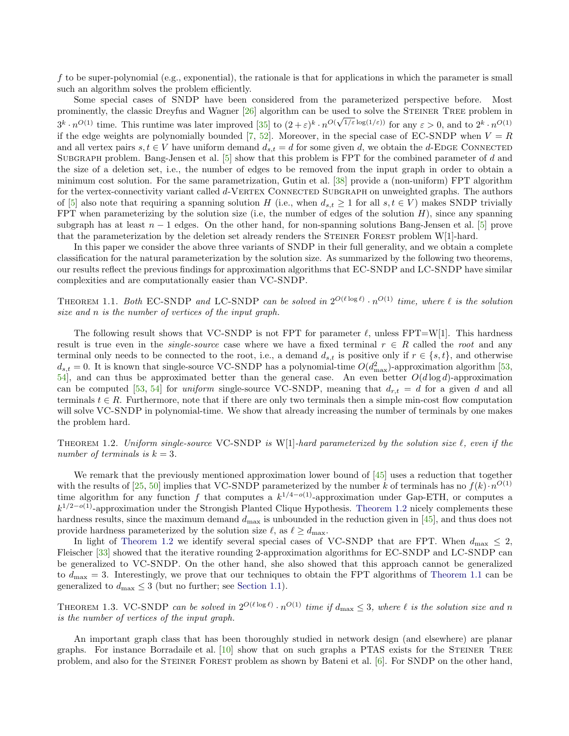f to be super-polynomial (e.g., exponential), the rationale is that for applications in which the parameter is small such an algorithm solves the problem efficiently.

Some special cases of SNDP have been considered from the parameterized perspective before. Most prominently, the classic Dreyfus and Wagner  $[26]$  algorithm can be used to solve the STEINER TREE problem in  $3^k \cdot n^{O(1)}$  time. This runtime was later improved  $[35]$  to  $(2+\varepsilon)^k \cdot n^{O(\sqrt{1/\varepsilon \log(1/\varepsilon)})}$  for any  $\varepsilon > 0$ , and to  $2^k \cdot n^{O(1)}$ if the edge weights are polynomially bounded [\[7,](#page-17-1) [52\]](#page-19-10). Moreover, in the special case of EC-SNDP when  $V = R$ and all vertex pairs  $s, t \in V$  have uniform demand  $d_{s,t} = d$  for some given d, we obtain the d-EDGE CONNECTED SUBGRAPH problem. Bang-Jensen et al. [\[5\]](#page-17-2) show that this problem is FPT for the combined parameter of d and the size of a deletion set, i.e., the number of edges to be removed from the input graph in order to obtain a minimum cost solution. For the same parametrization, Gutin et al. [\[38\]](#page-19-11) provide a (non-uniform) FPT algorithm for the vertex-connectivity variant called d-VERTEX CONNECTED SUBGRAPH on unweighted graphs. The authors of [\[5\]](#page-17-2) also note that requiring a spanning solution H (i.e., when  $d_{s,t} \geq 1$  for all  $s, t \in V$ ) makes SNDP trivially FPT when parameterizing by the solution size (i.e, the number of edges of the solution  $H$ ), since any spanning subgraph has at least  $n-1$  edges. On the other hand, for non-spanning solutions Bang-Jensen et al. [\[5\]](#page-17-2) prove that the parameterization by the deletion set already renders the STEINER FOREST problem W[1]-hard.

In this paper we consider the above three variants of SNDP in their full generality, and we obtain a complete classification for the natural parameterization by the solution size. As summarized by the following two theorems, our results reflect the previous findings for approximation algorithms that EC-SNDP and LC-SNDP have similar complexities and are computationally easier than VC-SNDP.

<span id="page-2-1"></span>THEOREM 1.1. Both EC-SNDP and LC-SNDP can be solved in  $2^{O(\ell \log \ell)} \cdot n^{O(1)}$  time, where  $\ell$  is the solution size and n is the number of vertices of the input graph.

The following result shows that VC-SNDP is not FPT for parameter  $\ell$ , unless FPT=W[1]. This hardness result is true even in the *single-source* case where we have a fixed terminal  $r \in R$  called the *root* and any terminal only needs to be connected to the root, i.e., a demand  $d_{s,t}$  is positive only if  $r \in \{s,t\}$ , and otherwise  $d_{s,t} = 0$ . It is known that single-source VC-SNDP has a polynomial-time  $O(d_{\text{max}}^2)$ -approximation algorithm [\[53,](#page-19-12)  $54$ , and can thus be approximated better than the general case. An even better  $O(d \log d)$ -approximation can be computed [\[53,](#page-19-12) [54\]](#page-19-13) for uniform single-source VC-SNDP, meaning that  $d_{r,t} = d$  for a given d and all terminals  $t \in R$ . Furthermore, note that if there are only two terminals then a simple min-cost flow computation will solve VC-SNDP in polynomial-time. We show that already increasing the number of terminals by one makes the problem hard.

<span id="page-2-0"></span>THEOREM 1.2. Uniform single-source VC-SNDP is W[1]-hard parameterized by the solution size  $\ell$ , even if the number of terminals is  $k = 3$ .

We remark that the previously mentioned approximation lower bound of  $\left[45\right]$  uses a reduction that together with the results of [\[25,](#page-18-5) [50\]](#page-19-14) implies that VC-SNDP parameterized by the number k of terminals has no  $f(k) \cdot n^{O(1)}$ time algorithm for any function f that computes a  $k^{1/4-o(1)}$ -approximation under Gap-ETH, or computes a  $k^{1/2-o(1)}$ -approximation under the Strongish Planted Clique Hypothesis. [Theorem 1.2](#page-2-0) nicely complements these hardness results, since the maximum demand  $d_{\text{max}}$  is unbounded in the reduction given in [\[45\]](#page-19-7), and thus does not provide hardness parameterized by the solution size  $\ell$ , as  $\ell \geq d_{\text{max}}$ .

In light of [Theorem 1.2](#page-2-0) we identify several special cases of VC-SNDP that are FPT. When  $d_{\text{max}} \leq 2$ , Fleischer [\[33\]](#page-19-15) showed that the iterative rounding 2-approximation algorithms for EC-SNDP and LC-SNDP can be generalized to VC-SNDP. On the other hand, she also showed that this approach cannot be generalized to  $d_{\text{max}} = 3$ . Interestingly, we prove that our techniques to obtain the FPT algorithms of [Theorem 1.1](#page-2-1) can be generalized to  $d_{\text{max}} \leq 3$  (but no further; see [Section 1.1\)](#page-3-0).

<span id="page-2-2"></span>THEOREM 1.3. VC-SNDP can be solved in  $2^{O(\ell \log \ell)} \cdot n^{O(1)}$  time if  $d_{\max} \leq 3$ , where  $\ell$  is the solution size and n is the number of vertices of the input graph.

An important graph class that has been thoroughly studied in network design (and elsewhere) are planar graphs. For instance Borradaile et al.  $[10]$  show that on such graphs a PTAS exists for the STEINER TREE problem, and also for the STEINER FOREST problem as shown by Bateni et al. [\[6\]](#page-17-4). For SNDP on the other hand,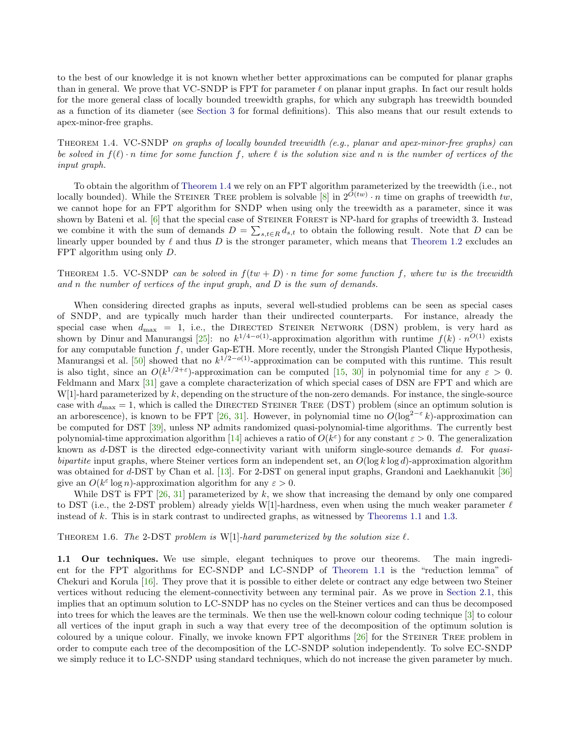to the best of our knowledge it is not known whether better approximations can be computed for planar graphs than in general. We prove that VC-SNDP is FPT for parameter  $\ell$  on planar input graphs. In fact our result holds for the more general class of locally bounded treewidth graphs, for which any subgraph has treewidth bounded as a function of its diameter (see [Section 3](#page-9-0) for formal definitions). This also means that our result extends to apex-minor-free graphs.

<span id="page-3-1"></span>Theorem 1.4. VC-SNDP on graphs of locally bounded treewidth (e.g., planar and apex-minor-free graphs) can be solved in  $f(\ell)$  · n time for some function f, where  $\ell$  is the solution size and n is the number of vertices of the input graph.

To obtain the algorithm of [Theorem 1.4](#page-3-1) we rely on an FPT algorithm parameterized by the treewidth (i.e., not locally bounded). While the STEINER TREE problem is solvable [\[8\]](#page-17-5) in  $2^{O(tw)} \cdot n$  time on graphs of treewidth tw, we cannot hope for an FPT algorithm for SNDP when using only the treewidth as a parameter, since it was shown by Bateni et al. [\[6\]](#page-17-4) that the special case of STEINER FOREST is NP-hard for graphs of treewidth 3. Instead we combine it with the sum of demands  $D = \sum_{s,t \in R} d_{s,t}$  to obtain the following result. Note that D can be linearly upper bounded by  $\ell$  and thus D is the stronger parameter, which means that [Theorem 1.2](#page-2-0) excludes an FPT algorithm using only D.

# <span id="page-3-2"></span>THEOREM 1.5. VC-SNDP can be solved in  $f(tw + D) \cdot n$  time for some function f, where tw is the treewidth and n the number of vertices of the input graph, and  $D$  is the sum of demands.

When considering directed graphs as inputs, several well-studied problems can be seen as special cases of SNDP, and are typically much harder than their undirected counterparts. For instance, already the special case when  $d_{\text{max}} = 1$ , i.e., the DIRECTED STEINER NETWORK (DSN) problem, is very hard as shown by Dinur and Manurangsi [\[25\]](#page-18-5): no  $k^{1/4-o(1)}$ -approximation algorithm with runtime  $f(k) \cdot n^{O(1)}$  exists for any computable function f, under Gap-ETH. More recently, under the Strongish Planted Clique Hypothesis, Manurangsi et al. [\[50\]](#page-19-14) showed that no  $k^{1/2-o(1)}$ -approximation can be computed with this runtime. This result is also tight, since an  $O(k^{1/2+\epsilon})$ -approximation can be computed [\[15,](#page-18-6) [30\]](#page-18-7) in polynomial time for any  $\varepsilon > 0$ . Feldmann and Marx [\[31\]](#page-18-8) gave a complete characterization of which special cases of DSN are FPT and which are  $W[1]$ -hard parameterized by k, depending on the structure of the non-zero demands. For instance, the single-source case with  $d_{\text{max}} = 1$ , which is called the DIRECTED STEINER TREE (DST) problem (since an optimum solution is an arborescence), is known to be FPT [\[26,](#page-18-4) [31\]](#page-18-8). However, in polynomial time no  $O(\log^{2-\varepsilon} k)$ -approximation can be computed for DST [\[39\]](#page-19-16), unless NP admits randomized quasi-polynomial-time algorithms. The currently best polynomial-time approximation algorithm [\[14\]](#page-18-9) achieves a ratio of  $O(k^{\epsilon})$  for any constant  $\varepsilon > 0$ . The generalization known as  $d$ -DST is the directed edge-connectivity variant with uniform single-source demands  $d$ . For quasibipartite input graphs, where Steiner vertices form an independent set, an  $O(\log k \log d)$ -approximation algorithm was obtained for d-DST by Chan et al. [\[13\]](#page-18-10). For 2-DST on general input graphs, Grandoni and Laekhanukit [\[36\]](#page-19-17) give an  $O(k^{\varepsilon} \log n)$ -approximation algorithm for any  $\varepsilon > 0$ .

While DST is FPT  $[26, 31]$  $[26, 31]$  $[26, 31]$  parameterized by k, we show that increasing the demand by only one compared to DST (i.e., the 2-DST problem) already yields W[1]-hardness, even when using the much weaker parameter  $\ell$ instead of k. This is in stark contrast to undirected graphs, as witnessed by [Theorems 1.1](#page-2-1) and [1.3.](#page-2-2)

## <span id="page-3-3"></span>THEOREM 1.6. The 2-DST problem is W[1]-hard parameterized by the solution size  $\ell$ .

<span id="page-3-0"></span>1.1 Our techniques. We use simple, elegant techniques to prove our theorems. The main ingredient for the FPT algorithms for EC-SNDP and LC-SNDP of [Theorem 1.1](#page-2-1) is the "reduction lemma" of Chekuri and Korula [\[16\]](#page-18-11). They prove that it is possible to either delete or contract any edge between two Steiner vertices without reducing the element-connectivity between any terminal pair. As we prove in [Section 2.1,](#page-5-0) this implies that an optimum solution to LC-SNDP has no cycles on the Steiner vertices and can thus be decomposed into trees for which the leaves are the terminals. We then use the well-known colour coding technique [\[3\]](#page-17-6) to colour all vertices of the input graph in such a way that every tree of the decomposition of the optimum solution is coloured by a unique colour. Finally, we invoke known FPT algorithms  $[26]$  for the STEINER TREE problem in order to compute each tree of the decomposition of the LC-SNDP solution independently. To solve EC-SNDP we simply reduce it to LC-SNDP using standard techniques, which do not increase the given parameter by much.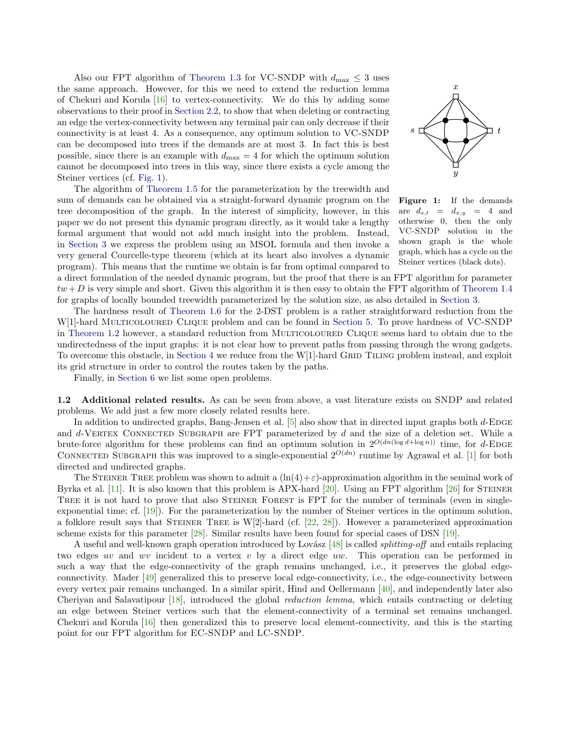Also our FPT algorithm of [Theorem 1.3](#page-2-2) for VC-SNDP with  $d_{\text{max}} \leq 3$  uses the same approach. However, for this we need to extend the reduction lemma of Chekuri and Korula  $[16]$  to vertex-connectivity. We do this by adding some observations to their proof in [Section 2.2,](#page-7-0) to show that when deleting or contracting an edge the vertex-connectivity between any terminal pair can only decrease if their connectivity is at least 4. As a consequence, any optimum solution to VC-SNDP can be decomposed into trees if the demands are at most 3. In fact this is best possible, since there is an example with  $d_{\text{max}} = 4$  for which the optimum solution cannot be decomposed into trees in this way, since there exists a cycle among the Steiner vertices (cf. [Fig. 1\)](#page-4-0).

The algorithm of [Theorem 1.5](#page-3-2) for the parameterization by the treewidth and sum of demands can be obtained via a straight-forward dynamic program on the tree decomposition of the graph. In the interest of simplicity, however, in this paper we do not present this dynamic program directly, as it would take a lengthy formal argument that would not add much insight into the problem. Instead, in [Section 3](#page-9-0) we express the problem using an MSOL formula and then invoke a very general Courcelle-type theorem (which at its heart also involves a dynamic program). This means that the runtime we obtain is far from optimal compared to

<span id="page-4-0"></span>

Figure 1: If the demands are  $d_{s,t} = d_{x,y} = 4$  and otherwise 0, then the only VC-SNDP solution in the shown graph is the whole graph, which has a cycle on the Steiner vertices (black dots).

a direct formulation of the needed dynamic program, but the proof that there is an FPT algorithm for parameter  $tw + D$  is very simple and short. Given this algorithm it is then easy to obtain the FPT algorithm of [Theorem 1.4](#page-3-1) for graphs of locally bounded treewidth parameterized by the solution size, as also detailed in [Section 3.](#page-9-0)

The hardness result of [Theorem 1.6](#page-3-3) for the 2-DST problem is a rather straightforward reduction from the W[1]-hard MULTICOLOURED CLIQUE problem and can be found in [Section 5.](#page-14-0) To prove hardness of VC-SNDP in [Theorem 1.2](#page-2-0) however, a standard reduction from MULTICOLOURED CLIQUE seems hard to obtain due to the undirectedness of the input graphs: it is not clear how to prevent paths from passing through the wrong gadgets. To overcome this obstacle, in [Section 4](#page-10-0) we reduce from the W[1]-hard GRID TILING problem instead, and exploit its grid structure in order to control the routes taken by the paths.

Finally, in [Section 6](#page-16-0) we list some open problems.

1.2 Additional related results. As can be seen from above, a vast literature exists on SNDP and related problems. We add just a few more closely related results here.

In addition to undirected graphs, Bang-Jensen et al.  $[5]$  also show that in directed input graphs both d-EDGE and  $d$ -VERTEX CONNECTED SUBGRAPH are FPT parameterized by  $d$  and the size of a deletion set. While a brute-force algorithm for these problems can find an optimum solution in  $2^{O(dn(\log d + \log n))}$  time, for d-EDGE CONNECTED SUBGRAPH this was improved to a single-exponential  $2^{O(dn)}$  runtime by Agrawal et al. [\[1\]](#page-17-7) for both directed and undirected graphs.

The STEINER TREE problem was shown to admit a  $(\ln(4) + \varepsilon)$ -approximation algorithm in the seminal work of Byrka et al. [\[11\]](#page-17-8). It is also known that this problem is APX-hard [\[20\]](#page-18-12). Using an FPT algorithm  $[26]$  for STEINER TREE it is not hard to prove that also STEINER FOREST is FPT for the number of terminals (even in singleexponential time; cf. [\[19\]](#page-18-13)). For the parameterization by the number of Steiner vertices in the optimum solution, a folklore result says that STEINER TREE is  $W[2]$ -hard (cf. [\[22,](#page-18-3) [28\]](#page-18-14)). However a parameterized approximation scheme exists for this parameter [\[28\]](#page-18-14). Similar results have been found for special cases of DSN [\[19\]](#page-18-13).

A useful and well-known graph operation introduced by Lovász  $[48]$  is called *splitting-off* and entails replacing two edges uv and wv incident to a vertex v by a direct edge uw. This operation can be performed in such a way that the edge-connectivity of the graph remains unchanged, i.e., it preserves the global edgeconnectivity. Mader [\[49\]](#page-19-19) generalized this to preserve local edge-connectivity, i.e., the edge-connectivity between every vertex pair remains unchanged. In a similar spirit, Hind and Oellermann [\[40\]](#page-19-20), and independently later also Cheriyan and Salavatipour [\[18\]](#page-18-15), introduced the global reduction lemma, which entails contracting or deleting an edge between Steiner vertices such that the element-connectivity of a terminal set remains unchanged. Chekuri and Korula [\[16\]](#page-18-11) then generalized this to preserve local element-connectivity, and this is the starting point for our FPT algorithm for EC-SNDP and LC-SNDP.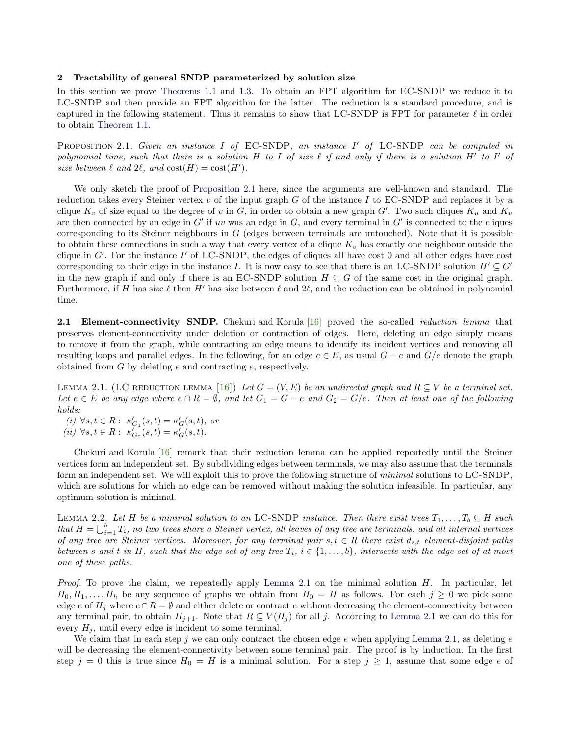#### 2 Tractability of general SNDP parameterized by solution size

In this section we prove [Theorems 1.1](#page-2-1) and [1.3.](#page-2-2) To obtain an FPT algorithm for EC-SNDP we reduce it to LC-SNDP and then provide an FPT algorithm for the latter. The reduction is a standard procedure, and is captured in the following statement. Thus it remains to show that LC-SNDP is FPT for parameter  $\ell$  in order to obtain [Theorem 1.1.](#page-2-1)

<span id="page-5-1"></span>PROPOSITION 2.1. Given an instance I of EC-SNDP, an instance I' of LC-SNDP can be computed in polynomial time, such that there is a solution H to I of size  $\ell$  if and only if there is a solution H' to I' of size between  $\ell$  and  $2\ell$ , and  $\text{cost}(H) = \text{cost}(H').$ 

We only sketch the proof of [Proposition 2.1](#page-5-1) here, since the arguments are well-known and standard. The reduction takes every Steiner vertex  $v$  of the input graph  $G$  of the instance I to EC-SNDP and replaces it by a clique  $K_v$  of size equal to the degree of v in G, in order to obtain a new graph G'. Two such cliques  $K_u$  and  $K_v$ are then connected by an edge in  $G'$  if uv was an edge in  $G$ , and every terminal in  $G'$  is connected to the cliques corresponding to its Steiner neighbours in  $G$  (edges between terminals are untouched). Note that it is possible to obtain these connections in such a way that every vertex of a clique  $K_v$  has exactly one neighbour outside the clique in  $G'$ . For the instance  $I'$  of LC-SNDP, the edges of cliques all have cost 0 and all other edges have cost corresponding to their edge in the instance I. It is now easy to see that there is an LC-SNDP solution  $H' \subseteq G'$ in the new graph if and only if there is an EC-SNDP solution  $H \subseteq G$  of the same cost in the original graph. Furthermore, if H has size  $\ell$  then H' has size between  $\ell$  and  $2\ell$ , and the reduction can be obtained in polynomial time.

<span id="page-5-0"></span>2.1 Element-connectivity SNDP. Chekuri and Korula [\[16\]](#page-18-11) proved the so-called reduction lemma that preserves element-connectivity under deletion or contraction of edges. Here, deleting an edge simply means to remove it from the graph, while contracting an edge means to identify its incident vertices and removing all resulting loops and parallel edges. In the following, for an edge  $e \in E$ , as usual  $G - e$  and  $G/e$  denote the graph obtained from  $G$  by deleting  $e$  and contracting  $e$ , respectively.

<span id="page-5-2"></span>LEMMA 2.1. (LC REDUCTION LEMMA [\[16\]](#page-18-11)) Let  $G = (V, E)$  be an undirected graph and  $R \subseteq V$  be a terminal set. Let  $e \in E$  be any edge where  $e \cap R = \emptyset$ , and let  $G_1 = G - e$  and  $G_2 = G/e$ . Then at least one of the following holds:

 $(i) \ \forall s,t \in R: \ \kappa_{G_1}'(s,t) = \kappa_G'(s,t), \ or$ (*ii*)  $\forall s, t \in R : \kappa'_{G_2}(s,t) = \kappa'_{G}(s,t).$ 

Chekuri and Korula [\[16\]](#page-18-11) remark that their reduction lemma can be applied repeatedly until the Steiner vertices form an independent set. By subdividing edges between terminals, we may also assume that the terminals form an independent set. We will exploit this to prove the following structure of minimal solutions to LC-SNDP, which are solutions for which no edge can be removed without making the solution infeasible. In particular, any optimum solution is minimal.

<span id="page-5-3"></span>LEMMA 2.2. Let H be a minimal solution to an LC-SNDP instance. Then there exist trees  $T_1, \ldots, T_b \subseteq H$  such that  $H = \bigcup_{i=1}^{b} T_i$ , no two trees share a Steiner vertex, all leaves of any tree are terminals, and all internal vertices of any tree are Steiner vertices. Moreover, for any terminal pair  $s, t \in R$  there exist  $d_{s,t}$  element-disjoint paths between s and t in H, such that the edge set of any tree  $T_i$ ,  $i \in \{1, \ldots, b\}$ , intersects with the edge set of at most one of these paths.

Proof. To prove the claim, we repeatedly apply [Lemma 2.1](#page-5-2) on the minimal solution H. In particular, let  $H_0, H_1, \ldots, H_h$  be any sequence of graphs we obtain from  $H_0 = H$  as follows. For each  $j \geq 0$  we pick some edge e of  $H_j$  where  $e \cap R = \emptyset$  and either delete or contract e without decreasing the element-connectivity between any terminal pair, to obtain  $H_{j+1}$ . Note that  $R \subseteq V(H_j)$  for all j. According to [Lemma 2.1](#page-5-2) we can do this for every  $H_j$ , until every edge is incident to some terminal.

We claim that in each step j we can only contract the chosen edge  $e$  when applying [Lemma 2.1,](#page-5-2) as deleting  $e$ will be decreasing the element-connectivity between some terminal pair. The proof is by induction. In the first step  $j = 0$  this is true since  $H_0 = H$  is a minimal solution. For a step  $j \ge 1$ , assume that some edge e of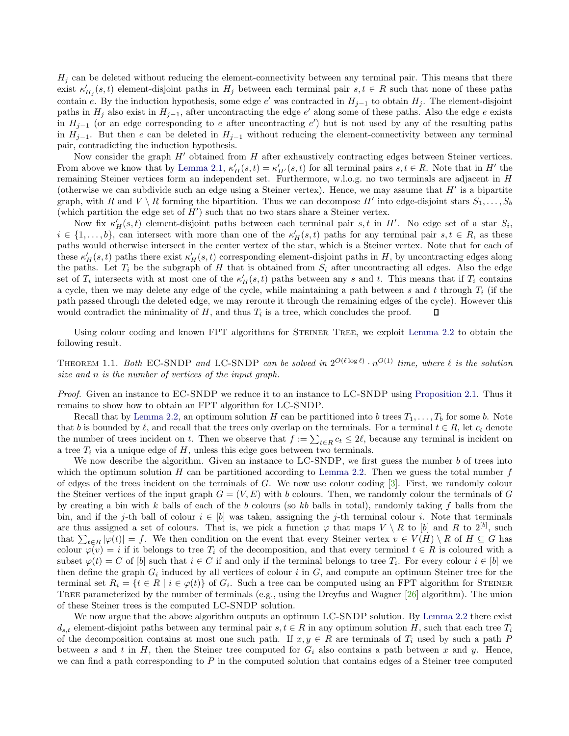$H_j$  can be deleted without reducing the element-connectivity between any terminal pair. This means that there exist  $\kappa'_{H_j}(s,t)$  element-disjoint paths in  $H_j$  between each terminal pair  $s,t \in R$  such that none of these paths contain e. By the induction hypothesis, some edge e' was contracted in  $H_{j-1}$  to obtain  $H_j$ . The element-disjoint paths in  $H_j$  also exist in  $H_{j-1}$ , after uncontracting the edge e' along some of these paths. Also the edge e exists in  $H_{j-1}$  (or an edge corresponding to e after uncontracting e') but is not used by any of the resulting paths in  $H_{i-1}$ . But then e can be deleted in  $H_{i-1}$  without reducing the element-connectivity between any terminal pair, contradicting the induction hypothesis.

Now consider the graph  $H'$  obtained from H after exhaustively contracting edges between Steiner vertices. From above we know that by [Lemma 2.1,](#page-5-2)  $\kappa'_H(s,t) = \kappa'_{H'}(s,t)$  for all terminal pairs  $s, t \in R$ . Note that in H' the remaining Steiner vertices form an independent set. Furthermore, w.l.o.g. no two terminals are adjacent in H (otherwise we can subdivide such an edge using a Steiner vertex). Hence, we may assume that  $H'$  is a bipartite graph, with R and  $V \setminus R$  forming the bipartition. Thus we can decompose H' into edge-disjoint stars  $S_1, \ldots, S_b$ (which partition the edge set of  $H'$ ) such that no two stars share a Steiner vertex.

Now fix  $\kappa'_H(s,t)$  element-disjoint paths between each terminal pair s, t in H'. No edge set of a star  $S_i$ ,  $i \in \{1,\ldots,b\}$ , can intersect with more than one of the  $\kappa_H'(s,t)$  paths for any terminal pair  $s,t \in R$ , as these paths would otherwise intersect in the center vertex of the star, which is a Steiner vertex. Note that for each of these  $\kappa_H'(s,t)$  paths there exist  $\kappa_H'(s,t)$  corresponding element-disjoint paths in H, by uncontracting edges along the paths. Let  $T_i$  be the subgraph of H that is obtained from  $S_i$  after uncontracting all edges. Also the edge set of  $T_i$  intersects with at most one of the  $\kappa'_H(s,t)$  paths between any s and t. This means that if  $T_i$  contains a cycle, then we may delete any edge of the cycle, while maintaining a path between s and t through  $T_i$  (if the path passed through the deleted edge, we may reroute it through the remaining edges of the cycle). However this would contradict the minimality of  $H$ , and thus  $T_i$  is a tree, which concludes the proof.  $\Box$ 

Using colour coding and known FPT algorithms for Steiner Tree, we exploit [Lemma 2.2](#page-5-3) to obtain the following result.

THEOREM 1.1. Both EC-SNDP and LC-SNDP can be solved in  $2^{O(\ell \log \ell)} \cdot n^{O(1)}$  time, where  $\ell$  is the solution size and n is the number of vertices of the input graph.

Proof. Given an instance to EC-SNDP we reduce it to an instance to LC-SNDP using [Proposition 2.1.](#page-5-1) Thus it remains to show how to obtain an FPT algorithm for LC-SNDP.

Recall that by [Lemma 2.2,](#page-5-3) an optimum solution H can be partitioned into b trees  $T_1, \ldots, T_b$  for some b. Note that b is bounded by  $\ell$ , and recall that the trees only overlap on the terminals. For a terminal  $t \in R$ , let  $c_t$  denote the number of trees incident on t. Then we observe that  $f := \sum_{t \in R} c_t \le 2\ell$ , because any terminal is incident on a tree  $T_i$  via a unique edge of  $H$ , unless this edge goes between two terminals.

We now describe the algorithm. Given an instance to  $LC-SNDP$ , we first guess the number  $b$  of trees into which the optimum solution H can be partitioned according to [Lemma 2.2.](#page-5-3) Then we guess the total number  $f$ of edges of the trees incident on the terminals of G. We now use colour coding  $\lvert 3 \rvert$ . First, we randomly colour the Steiner vertices of the input graph  $G = (V, E)$  with b colours. Then, we randomly colour the terminals of G by creating a bin with k balls of each of the b colours (so kb balls in total), randomly taking f balls from the bin, and if the j-th ball of colour  $i \in [b]$  was taken, assigning the j-th terminal colour i. Note that terminals are thus assigned a set of colours. That is, we pick a function  $\varphi$  that maps  $V \setminus R$  to [b] and R to 2<sup>[b]</sup>, such that  $\sum_{t\in R} |\varphi(t)| = f$ . We then condition on the event that every Steiner vertex  $v \in V(H) \setminus R$  of  $H \subseteq G$  has colour  $\varphi(v) = i$  if it belongs to tree  $T_i$  of the decomposition, and that every terminal  $t \in R$  is coloured with a subset  $\varphi(t) = C$  of  $[b]$  such that  $i \in C$  if and only if the terminal belongs to tree  $T_i$ . For every colour  $i \in [b]$  we then define the graph  $G_i$  induced by all vertices of colour i in  $G$ , and compute an optimum Steiner tree for the terminal set  $R_i = \{t \in R \mid i \in \varphi(t)\}\$  of  $G_i$ . Such a tree can be computed using an FPT algorithm for STEINER Tree parameterized by the number of terminals (e.g., using the Dreyfus and Wagner [\[26\]](#page-18-4) algorithm). The union of these Steiner trees is the computed LC-SNDP solution.

We now argue that the above algorithm outputs an optimum LC-SNDP solution. By [Lemma 2.2](#page-5-3) there exist  $d_{s,t}$  element-disjoint paths between any terminal pair  $s, t \in R$  in any optimum solution H, such that each tree  $T_i$ of the decomposition contains at most one such path. If  $x, y \in R$  are terminals of  $T_i$  used by such a path P between s and t in H, then the Steiner tree computed for  $G_i$  also contains a path between x and y. Hence, we can find a path corresponding to  $P$  in the computed solution that contains edges of a Steiner tree computed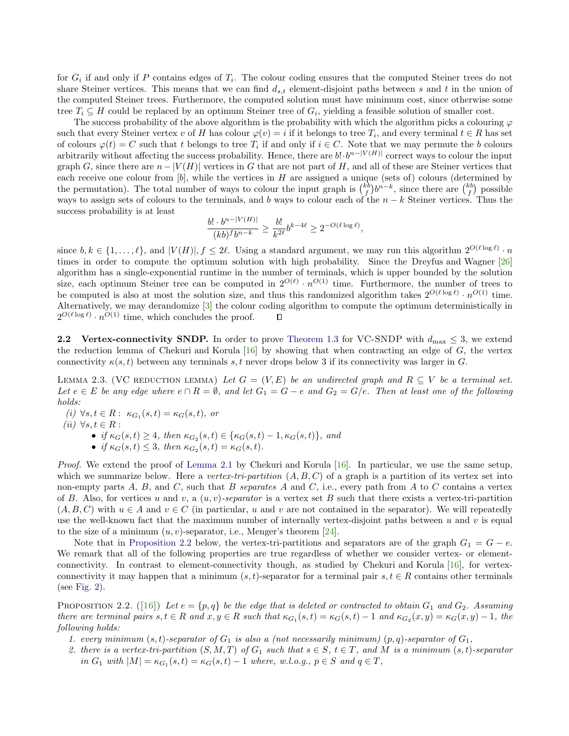for  $G_i$  if and only if P contains edges of  $T_i$ . The colour coding ensures that the computed Steiner trees do not share Steiner vertices. This means that we can find  $d_{s,t}$  element-disjoint paths between s and t in the union of the computed Steiner trees. Furthermore, the computed solution must have minimum cost, since otherwise some tree  $T_i \subseteq H$  could be replaced by an optimum Steiner tree of  $G_i$ , yielding a feasible solution of smaller cost.

The success probability of the above algorithm is the probability with which the algorithm picks a colouring  $\varphi$ such that every Steiner vertex v of H has colour  $\varphi(v) = i$  if it belongs to tree  $T_i$ , and every terminal  $t \in R$  has set of colours  $\varphi(t) = C$  such that t belongs to tree  $T_i$  if and only if  $i \in C$ . Note that we may permute the b colours arbitrarily without affecting the success probability. Hence, there are  $b! \cdot b^{n-|V(H)|}$  correct ways to colour the input graph G, since there are  $n - |V(H)|$  vertices in G that are not part of H, and all of these are Steiner vertices that each receive one colour from  $[b]$ , while the vertices in  $H$  are assigned a unique (sets of) colours (determined by the permutation). The total number of ways to colour the input graph is  $\binom{k}{f}b^{n-k}$ , since there are  $\binom{k}{f}$  possible ways to assign sets of colours to the terminals, and b ways to colour each of the  $n - k$  Steiner vertices. Thus the success probability is at least

$$
\frac{b! \cdot b^{n-|V(H)|}}{(kb)^fb^{n-k}} \ge \frac{b!}{k^{2\ell}}b^{k-4\ell} \ge 2^{-O(\ell \log \ell)},
$$

since  $b, k \in \{1, \ldots, \ell\}$ , and  $|V(H)|, f \leq 2\ell$ . Using a standard argument, we may run this algorithm  $2^{O(\ell \log \ell)} \cdot n$ times in order to compute the optimum solution with high probability. Since the Dreyfus and Wagner [\[26\]](#page-18-4) algorithm has a single-exponential runtime in the number of terminals, which is upper bounded by the solution size, each optimum Steiner tree can be computed in  $2^{O(\ell)} \cdot n^{O(1)}$  time. Furthermore, the number of trees to be computed is also at most the solution size, and thus this randomized algorithm takes  $2^{O(\ell \log \ell)} \cdot n^{O(1)}$  time. Alternatively, we may derandomize [\[3\]](#page-17-6) the colour coding algorithm to compute the optimum deterministically in  $2^{O(\ell \log \ell)} \cdot n^{O(1)}$  time, which concludes the proof. П

<span id="page-7-0"></span>2.2 Vertex-connectivity SNDP. In order to prove [Theorem 1.3](#page-2-2) for VC-SNDP with  $d_{\text{max}} \leq 3$ , we extend the reduction lemma of Chekuri and Korula  $[16]$  by showing that when contracting an edge of G, the vertex connectivity  $\kappa(s, t)$  between any terminals s, t never drops below 3 if its connectivity was larger in G.

<span id="page-7-2"></span>LEMMA 2.3. (VC REDUCTION LEMMA) Let  $G = (V, E)$  be an undirected graph and  $R \subseteq V$  be a terminal set. Let  $e \in E$  be any edge where  $e \cap R = \emptyset$ , and let  $G_1 = G - e$  and  $G_2 = G/e$ . Then at least one of the following holds:

(i)  $\forall s, t \in R: \kappa_{G_1}(s,t) = \kappa_G(s,t), \text{ or}$ 

(ii)  $\forall s,t \in R:$ 

• if  $\kappa_G(s,t) \geq 4$ , then  $\kappa_{G_2}(s,t) \in {\kappa_G(s,t) - 1, \kappa_G(s,t)}$ , and

• if  $\kappa_G(s,t) \leq 3$ , then  $\kappa_{G_2}(s,t) = \kappa_G(s,t)$ .

*Proof.* We extend the proof of [Lemma 2.1](#page-5-2) by Chekuri and Korula  $\left[16\right]$ . In particular, we use the same setup, which we summarize below. Here a vertex-tri-partition  $(A, B, C)$  of a graph is a partition of its vertex set into non-empty parts  $A, B$ , and  $C$ , such that  $B$  separates  $A$  and  $C$ , i.e., every path from  $A$  to  $C$  contains a vertex of B. Also, for vertices u and v, a  $(u, v)$ -separator is a vertex set B such that there exists a vertex-tri-partition  $(A, B, C)$  with  $u \in A$  and  $v \in C$  (in particular, u and v are not contained in the separator). We will repeatedly use the well-known fact that the maximum number of internally vertex-disjoint paths between  $u$  and  $v$  is equal to the size of a minimum  $(u, v)$ -separator, i.e., Menger's theorem [\[24\]](#page-18-16).

Note that in [Proposition 2.2](#page-7-1) below, the vertex-tri-partitions and separators are of the graph  $G_1 = G - e$ . We remark that all of the following properties are true regardless of whether we consider vertex- or elementconnectivity. In contrast to element-connectivity though, as studied by Chekuri and Korula [\[16\]](#page-18-11), for vertexconnectivity it may happen that a minimum  $(s, t)$ -separator for a terminal pair  $s, t \in R$  contains other terminals (see [Fig. 2\)](#page-8-0).

<span id="page-7-1"></span>PROPOSITION 2.2. ([\[16\]](#page-18-11)) Let  $e = \{p, q\}$  be the edge that is deleted or contracted to obtain  $G_1$  and  $G_2$ . Assuming there are terminal pairs  $s, t \in R$  and  $x, y \in R$  such that  $\kappa_{G_1}(s,t) = \kappa_G(s,t) - 1$  and  $\kappa_{G_2}(x,y) = \kappa_G(x,y) - 1$ , the following holds:

- 1. every minimum  $(s, t)$ -separator of  $G_1$  is also a (not necessarily minimum)  $(p, q)$ -separator of  $G_1$ ,
- 2. there is a vertex-tri-partition  $(S, M, T)$  of  $G_1$  such that  $s \in S$ ,  $t \in T$ , and M is a minimum  $(s, t)$ -separator in  $G_1$  with  $|M| = \kappa_{G_1}(s,t) = \kappa_G(s,t) - 1$  where, w.l.o.g.,  $p \in S$  and  $q \in T$ ,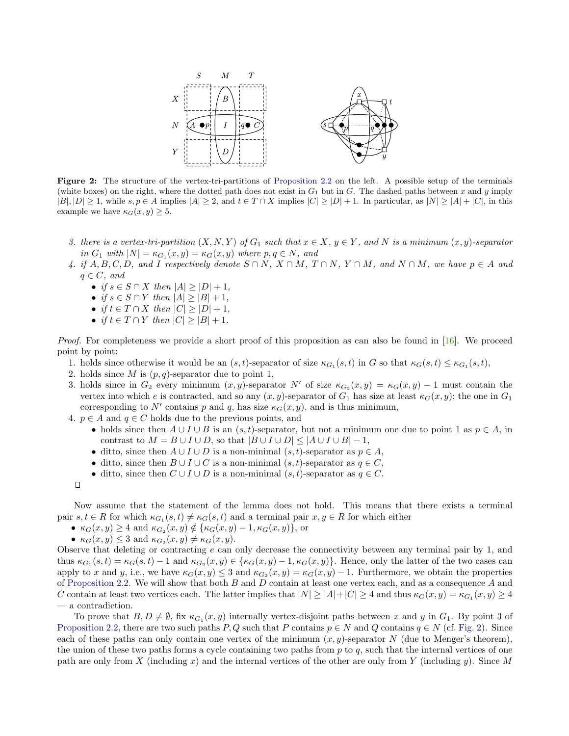<span id="page-8-0"></span>

Figure 2: The structure of the vertex-tri-partitions of [Proposition 2.2](#page-7-1) on the left. A possible setup of the terminals (white boxes) on the right, where the dotted path does not exist in  $G_1$  but in G. The dashed paths between x and y imply  $|B|, |D| \geq 1$ , while  $s, p \in A$  implies  $|A| \geq 2$ , and  $t \in T \cap X$  implies  $|C| \geq |D| + 1$ . In particular, as  $|N| \geq |A| + |C|$ , in this example we have  $\kappa_G(x, y) \geq 5$ .

- 3. there is a vertex-tri-partition  $(X, N, Y)$  of  $G_1$  such that  $x \in X$ ,  $y \in Y$ , and N is a minimum  $(x, y)$ -separator in  $G_1$  with  $|N| = \kappa_{G_1}(x, y) = \kappa_G(x, y)$  where  $p, q \in N$ , and
- 4. if  $A, B, C, D$ , and I respectively denote  $S \cap N$ ,  $X \cap M$ ,  $T \cap N$ ,  $Y \cap M$ , and  $N \cap M$ , we have  $p \in A$  and  $q \in C$ , and
	- if  $s \in S \cap X$  then  $|A| \geq |D| + 1$ ,
	- if  $s \in S \cap Y$  then  $|A| \geq |B| + 1$ ,
	- if  $t \in T \cap X$  then  $|C| \geq |D| + 1$ ,
	- if  $t \in T \cap Y$  then  $|C| \geq |B| + 1$ .

Proof. For completeness we provide a short proof of this proposition as can also be found in [\[16\]](#page-18-11). We proceed point by point:

- 1. holds since otherwise it would be an  $(s, t)$ -separator of size  $\kappa_{G_1}(s, t)$  in G so that  $\kappa_G(s, t) \leq \kappa_{G_1}(s, t)$ ,
- 2. holds since M is  $(p, q)$ -separator due to point 1,
- 3. holds since in  $G_2$  every minimum  $(x, y)$ -separator N' of size  $\kappa_{G_2}(x, y) = \kappa_G(x, y) 1$  must contain the vertex into which e is contracted, and so any  $(x, y)$ -separator of  $G_1$  has size at least  $\kappa_G(x, y)$ ; the one in  $G_1$ corresponding to N' contains p and q, has size  $\kappa_G(x, y)$ , and is thus minimum,
- 4.  $p \in A$  and  $q \in C$  holds due to the previous points, and
	- holds since then  $A \cup I \cup B$  is an  $(s, t)$ -separator, but not a minimum one due to point 1 as  $p \in A$ , in contrast to  $M = B \cup I \cup D$ , so that  $|B \cup I \cup D| \leq |A \cup I \cup B| - 1$ ,
	- ditto, since then  $A \cup I \cup D$  is a non-minimal  $(s, t)$ -separator as  $p \in A$ ,
	- ditto, since then  $B \cup I \cup C$  is a non-minimal  $(s, t)$ -separator as  $q \in C$ ,
	- ditto, since then  $C \cup I \cup D$  is a non-minimal  $(s, t)$ -separator as  $q \in C$ .

Now assume that the statement of the lemma does not hold. This means that there exists a terminal pair  $s, t \in R$  for which  $\kappa_{G_1}(s,t) \neq \kappa_G(s,t)$  and a terminal pair  $x, y \in R$  for which either

- $\kappa_G(x, y) \geq 4$  and  $\kappa_{G_2}(x, y) \notin {\kappa_G(x, y) 1, \kappa_G(x, y)},$  or
- $\kappa_G(x, y) \leq 3$  and  $\kappa_{G_2}(x, y) \neq \kappa_G(x, y)$ .

Observe that deleting or contracting e can only decrease the connectivity between any terminal pair by 1, and thus  $\kappa_{G_1}(s,t) = \kappa_G(s,t) - 1$  and  $\kappa_{G_2}(x,y) \in {\kappa_G(x,y) - 1, \kappa_G(x,y)}$ . Hence, only the latter of the two cases can apply to x and y, i.e., we have  $\kappa_G(x, y) \leq 3$  and  $\kappa_{G_2}(x, y) = \kappa_G(x, y) - 1$ . Furthermore, we obtain the properties of [Proposition 2.2.](#page-7-1) We will show that both  $B$  and  $D$  contain at least one vertex each, and as a consequence  $A$  and C contain at least two vertices each. The latter implies that  $|N| \ge |A| + |C| \ge 4$  and thus  $\kappa_G(x, y) = \kappa_{G_1}(x, y) \ge 4$ — a contradiction.

To prove that  $B, D \neq \emptyset$ , fix  $\kappa_{G_1}(x, y)$  internally vertex-disjoint paths between x and y in  $G_1$ . By point 3 of [Proposition 2.2,](#page-7-1) there are two such paths P, Q such that P contains  $p \in N$  and Q contains  $q \in N$  (cf. [Fig. 2\)](#page-8-0). Since each of these paths can only contain one vertex of the minimum  $(x, y)$ -separator N (due to Menger's theorem), the union of these two paths forms a cycle containing two paths from  $p$  to  $q$ , such that the internal vertices of one path are only from X (including x) and the internal vertices of the other are only from Y (including y). Since M

 $\Box$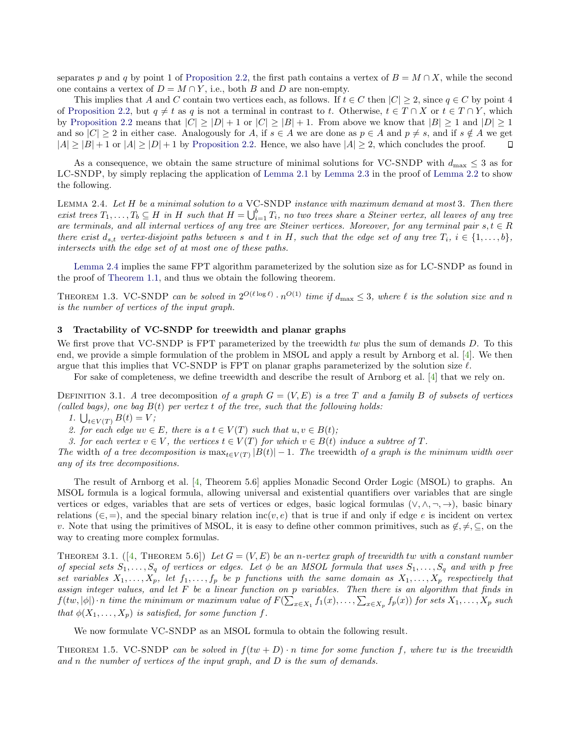separates p and q by point 1 of [Proposition 2.2,](#page-7-1) the first path contains a vertex of  $B = M \cap X$ , while the second one contains a vertex of  $D = M \cap Y$ , i.e., both B and D are non-empty.

This implies that A and C contain two vertices each, as follows. If  $t \in C$  then  $|C| \geq 2$ , since  $q \in C$  by point 4 of [Proposition 2.2,](#page-7-1) but  $q \neq t$  as q is not a terminal in contrast to t. Otherwise,  $t \in T \cap X$  or  $t \in T \cap Y$ , which by [Proposition 2.2](#page-7-1) means that  $|C| \geq |D| + 1$  or  $|C| \geq |B| + 1$ . From above we know that  $|B| \geq 1$  and  $|D| \geq 1$ and so  $|C| \geq 2$  in either case. Analogously for A, if  $s \in A$  we are done as  $p \in A$  and  $p \neq s$ , and if  $s \notin A$  we get  $|A| \ge |B| + 1$  or  $|A| \ge |D| + 1$  by [Proposition 2.2.](#page-7-1) Hence, we also have  $|A| \ge 2$ , which concludes the proof.  $\Box$ 

As a consequence, we obtain the same structure of minimal solutions for VC-SNDP with  $d_{\text{max}} \leq 3$  as for LC-SNDP, by simply replacing the application of [Lemma 2.1](#page-5-2) by [Lemma 2.3](#page-7-2) in the proof of [Lemma 2.2](#page-5-3) to show the following.

<span id="page-9-1"></span>Lemma 2.4. Let H be a minimal solution to a VC-SNDP instance with maximum demand at most 3. Then there exist trees  $T_1, \ldots, T_b \subseteq H$  in H such that  $H = \bigcup_{i=1}^b T_i$ , no two trees share a Steiner vertex, all leaves of any tree are terminals, and all internal vertices of any tree are Steiner vertices. Moreover, for any terminal pair  $s, t \in R$ there exist  $d_{s,t}$  vertex-disjoint paths between s and t in H, such that the edge set of any tree  $T_i$ ,  $i \in \{1, \ldots, b\}$ , intersects with the edge set of at most one of these paths.

[Lemma 2.4](#page-9-1) implies the same FPT algorithm parameterized by the solution size as for LC-SNDP as found in the proof of [Theorem 1.1,](#page-2-1) and thus we obtain the following theorem.

THEOREM 1.3. VC-SNDP can be solved in  $2^{O(\ell \log \ell)} \cdot n^{O(1)}$  time if  $d_{\max} \leq 3$ , where  $\ell$  is the solution size and n is the number of vertices of the input graph.

## <span id="page-9-0"></span>3 Tractability of VC-SNDP for treewidth and planar graphs

We first prove that VC-SNDP is FPT parameterized by the treewidth  $tw$  plus the sum of demands  $D$ . To this end, we provide a simple formulation of the problem in MSOL and apply a result by Arnborg et al. [\[4\]](#page-17-9). We then argue that this implies that VC-SNDP is FPT on planar graphs parameterized by the solution size  $\ell$ .

For sake of completeness, we define treewidth and describe the result of Arnborg et al. [\[4\]](#page-17-9) that we rely on.

DEFINITION 3.1. A tree decomposition of a graph  $G = (V, E)$  is a tree T and a family B of subsets of vertices (called bags), one bag  $B(t)$  per vertex t of the tree, such that the following holds:

1.  $\bigcup_{t \in V(T)} B(t) = V;$ 

2. for each edge  $uv \in E$ , there is a  $t \in V(T)$  such that  $u, v \in B(t)$ ;

3. for each vertex  $v \in V$ , the vertices  $t \in V(T)$  for which  $v \in B(t)$  induce a subtree of T.

The width of a tree decomposition is  $\max_{t \in V(T)} |B(t)| - 1$ . The treewidth of a graph is the minimum width over any of its tree decompositions.

The result of Arnborg et al. [\[4,](#page-17-9) Theorem 5.6] applies Monadic Second Order Logic (MSOL) to graphs. An MSOL formula is a logical formula, allowing universal and existential quantifiers over variables that are single vertices or edges, variables that are sets of vertices or edges, basic logical formulas ( $\vee, \wedge, \neg, \rightarrow$ ), basic binary relations ( $\in$ , =), and the special binary relation inc(v, e) that is true if and only if edge e is incident on vertex v. Note that using the primitives of MSOL, it is easy to define other common primitives, such as  $\notin, \neq, \subseteq$ , on the way to creating more complex formulas.

<span id="page-9-2"></span>THEOREM 3.1.  $([4,$  $([4,$  THEOREM 5.6]) Let  $G = (V, E)$  be an n-vertex graph of treewidth tw with a constant number of special sets  $S_1, \ldots, S_q$  of vertices or edges. Let  $\phi$  be an MSOL formula that uses  $S_1, \ldots, S_q$  and with p free set variables  $X_1, \ldots, X_p$ , let  $f_1, \ldots, f_p$  be p functions with the same domain as  $X_1, \ldots, X_p$  respectively that assign integer values, and let F be a linear function on p variables. Then there is an algorithm that finds in  $f(tw, |\phi|) \cdot n$  time the minimum or maximum value of  $F(\sum_{x \in X_1} f_1(x), \ldots, \sum_{x \in X_p} f_p(x))$  for sets  $X_1, \ldots, X_p$  such that  $\phi(X_1, \ldots, X_p)$  is satisfied, for some function f.

We now formulate VC-SNDP as an MSOL formula to obtain the following result.

THEOREM 1.5. VC-SNDP can be solved in  $f(tw + D) \cdot n$  time for some function f, where tw is the treewidth and n the number of vertices of the input graph, and D is the sum of demands.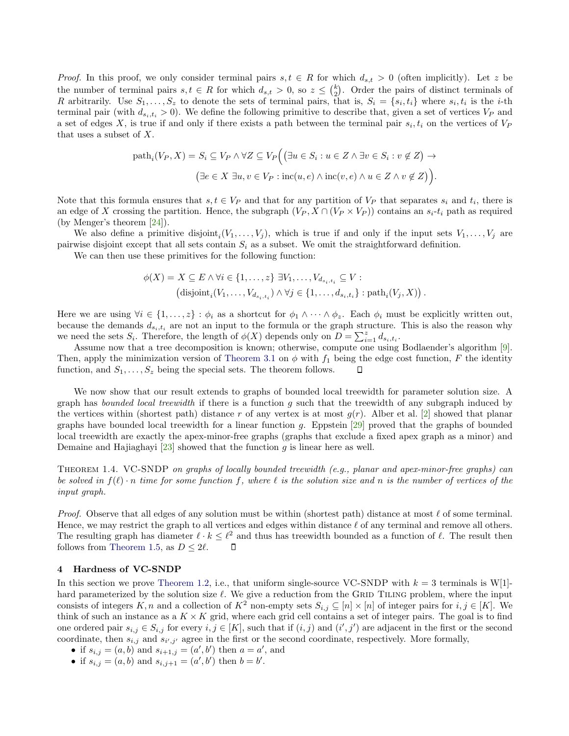*Proof.* In this proof, we only consider terminal pairs  $s, t \in R$  for which  $d_{s,t} > 0$  (often implicitly). Let z be the number of terminal pairs  $s, t \in R$  for which  $d_{s,t} > 0$ , so  $z \leq {k \choose 2}$ . Order the pairs of distinct terminals of R arbitrarily. Use  $S_1, \ldots, S_z$  to denote the sets of terminal pairs, that is,  $S_i = \{s_i, t_i\}$  where  $s_i, t_i$  is the *i*-th terminal pair (with  $d_{s_i,t_i} > 0$ ). We define the following primitive to describe that, given a set of vertices  $V_P$  and a set of edges X, is true if and only if there exists a path between the terminal pair  $s_i, t_i$  on the vertices of  $V_P$ that uses a subset of  $X$ .

$$
\text{path}_i(V_P, X) = S_i \subseteq V_P \land \forall Z \subseteq V_P \Big( \big(\exists u \in S_i : u \in Z \land \exists v \in S_i : v \notin Z\big) \to
$$

$$
\big(\exists e \in X \exists u, v \in V_P : \text{inc}(u, e) \land \text{inc}(v, e) \land u \in Z \land v \notin Z\big)\Big).
$$

Note that this formula ensures that  $s, t \in V_P$  and that for any partition of  $V_P$  that separates  $s_i$  and  $t_i$ , there is an edge of X crossing the partition. Hence, the subgraph  $(V_P, X \cap (V_P \times V_P))$  contains an  $s_i$ -t<sub>i</sub> path as required (by Menger's theorem [\[24\]](#page-18-16)).

We also define a primitive disjoint,  $(V_1, \ldots, V_j)$ , which is true if and only if the input sets  $V_1, \ldots, V_j$  are pairwise disjoint except that all sets contain  $S_i$  as a subset. We omit the straightforward definition.

We can then use these primitives for the following function:

$$
\phi(X) = X \subseteq E \land \forall i \in \{1, ..., z\} \exists V_1, ..., V_{d_{s_i, t_i}} \subseteq V :
$$
  
(disjoint<sub>i</sub>(V<sub>1</sub>, ..., V<sub>d\_{s\_i, t\_i</sub>))  $\land \forall j \in \{1, ..., d_{s_i, t_i}\} : \text{path}_i(V_j, X)).$ 

Here we are using  $\forall i \in \{1, ..., z\} : \phi_i$  as a shortcut for  $\phi_1 \wedge \cdots \wedge \phi_z$ . Each  $\phi_i$  must be explicitly written out, because the demands  $d_{s_i,t_i}$  are not an input to the formula or the graph structure. This is also the reason why we need the sets  $S_i$ . Therefore, the length of  $\phi(X)$  depends only on  $D = \sum_{i=1}^{z} d_{s_i,t_i}$ .

Assume now that a tree decomposition is known; otherwise, compute one using Bodlaender's algorithm [\[9\]](#page-17-10). Then, apply the minimization version of [Theorem 3.1](#page-9-2) on  $\phi$  with  $f_1$  being the edge cost function, F the identity function, and  $S_1, \ldots, S_z$  being the special sets. The theorem follows.  $\Box$ 

We now show that our result extends to graphs of bounded local treewidth for parameter solution size. A graph has bounded local treewidth if there is a function  $g$  such that the treewidth of any subgraph induced by the vertices within (shortest path) distance r of any vertex is at most  $g(r)$ . Alber et al. [\[2\]](#page-17-11) showed that planar graphs have bounded local treewidth for a linear function g. Eppstein  $[29]$  proved that the graphs of bounded local treewidth are exactly the apex-minor-free graphs (graphs that exclude a fixed apex graph as a minor) and Demaine and Hajiaghayi  $[23]$  showed that the function g is linear here as well.

Theorem 1.4. VC-SNDP on graphs of locally bounded treewidth (e.g., planar and apex-minor-free graphs) can be solved in  $f(\ell) \cdot n$  time for some function f, where  $\ell$  is the solution size and n is the number of vertices of the input graph.

*Proof.* Observe that all edges of any solution must be within (shortest path) distance at most  $\ell$  of some terminal. Hence, we may restrict the graph to all vertices and edges within distance  $\ell$  of any terminal and remove all others. The resulting graph has diameter  $\ell \cdot k \leq \ell^2$  and thus has treewidth bounded as a function of  $\ell$ . The result then follows from [Theorem 1.5,](#page-3-2) as  $D \leq 2\ell$ .  $\Box$ 

#### <span id="page-10-0"></span>4 Hardness of VC-SNDP

In this section we prove [Theorem 1.2,](#page-2-0) i.e., that uniform single-source VC-SNDP with  $k = 3$  terminals is W[1]hard parameterized by the solution size  $\ell$ . We give a reduction from the GRID TILING problem, where the input consists of integers K, n and a collection of  $K^2$  non-empty sets  $S_{i,j} \subseteq [n] \times [n]$  of integer pairs for  $i, j \in [K]$ . We think of such an instance as a  $K \times K$  grid, where each grid cell contains a set of integer pairs. The goal is to find one ordered pair  $s_{i,j} \in S_{i,j}$  for every  $i, j \in [K]$ , such that if  $(i, j)$  and  $(i', j')$  are adjacent in the first or the second coordinate, then  $s_{i,j}$  and  $s_{i',j'}$  agree in the first or the second coordinate, respectively. More formally,

- if  $s_{i,j} = (a, b)$  and  $s_{i+1,j} = (a', b')$  then  $a = a'$ , and
- if  $s_{i,j} = (a, b)$  and  $s_{i,j+1} = (a', b')$  then  $b = b'$ .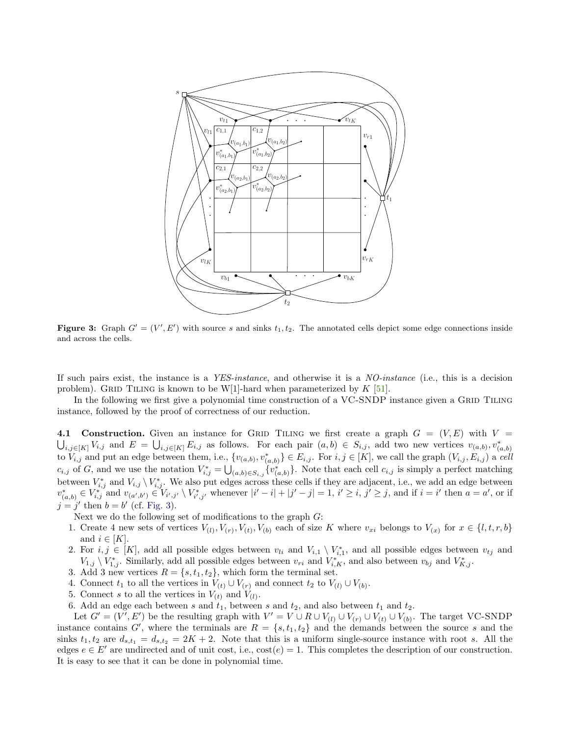<span id="page-11-0"></span>

Figure 3: Graph  $G' = (V', E')$  with source s and sinks  $t_1, t_2$ . The annotated cells depict some edge connections inside and across the cells.

If such pairs exist, the instance is a YES-instance, and otherwise it is a NO-instance (i.e., this is a decision problem). GRID TILING is known to be W[1]-hard when parameterized by  $K$  [\[51\]](#page-19-21).

In the following we first give a polynomial time construction of a VC-SNDP instance given a GRID TILING instance, followed by the proof of correctness of our reduction.

<span id="page-11-1"></span>4.1 Construction. Given an instance for GRID TILING we first create a graph  $G = (V, E)$  with  $V =$  $\bigcup_{i,j\in[K]}V_{i,j}$  and  $E = \bigcup_{i,j\in[K]}E_{i,j}$  as follows. For each pair  $(a,b)\in S_{i,j}$ , add two new vertices  $v_{(a,b)},v_{(a,b)}^*$ to  $V_{i,j}$  and put an edge between them, i.e.,  $\{v_{(a,b)}, v_{(a,b)}^*\} \in E_{i,j}$ . For  $i, j \in [K]$ , we call the graph  $(V_{i,j}, E_{i,j})$  a cell  $c_{i,j}$  of G, and we use the notation  $V_{i,j}^* = \bigcup_{(a,b)\in S_{i,j}} \{v_{(a,b)}^*\}.$  Note that each cell  $c_{i,j}$  is simply a perfect matching between  $V_{i,j}^*$  and  $V_{i,j} \setminus V_{i,j}^*$ . We also put edges across these cells if they are adjacent, i.e., we add an edge between  $v_{(a,b)}^* \in V_{i,j}^*$  and  $v_{(a',b')} \in V_{i',j'} \setminus V_{i',j'}^*$  whenever  $|i'-i|+|j'-j|=1$ ,  $i' \geq i$ ,  $j' \geq j$ , and if  $i=i'$  then  $a=a'$ , or if  $j = j'$  then  $b = b'$  (cf. [Fig. 3\)](#page-11-0).

Next we do the following set of modifications to the graph  $G$ :

- 1. Create 4 new sets of vertices  $V_{(l)}, V_{(r)}, V_{(t)}, V_{(b)}$  each of size K where  $v_{xi}$  belongs to  $V_{(x)}$  for  $x \in \{l, t, r, b\}$ and  $i \in [K]$ .
- 2. For  $i, j \in [K]$ , add all possible edges between  $v_{li}$  and  $V_{i,1} \setminus V_{i,1}^*$ , and all possible edges between  $v_{tj}$  and  $V_{1,j} \setminus V_{1,j}^*$ . Similarly, add all possible edges between  $v_{ri}$  and  $V_{i,K}^*$ , and also between  $v_{bj}$  and  $V_{K,j}^*$ .
- 3. Add 3 new vertices  $R = \{s, t_1, t_2\}$ , which form the terminal set.
- 4. Connect  $t_1$  to all the vertices in  $V_{(t)} \cup V_{(r)}$  and connect  $t_2$  to  $V_{(l)} \cup V_{(b)}$ .
- 5. Connect s to all the vertices in  $V_{(t)}$  and  $V_{(l)}$ .
- 6. Add an edge each between s and  $t_1$ , between s and  $t_2$ , and also between  $t_1$  and  $t_2$ .

Let  $G' = (V', E')$  be the resulting graph with  $V' = V \cup R \cup V_{(l)} \cup V_{(r)} \cup V_{(t)} \cup V_{(b)}$ . The target VC-SNDP instance contains G', where the terminals are  $R = \{s, t_1, t_2\}$  and the demands between the source s and the sinks  $t_1, t_2$  are  $d_{s,t_1} = d_{s,t_2} = 2K + 2$ . Note that this is a uniform single-source instance with root s. All the edges  $e \in E'$  are undirected and of unit cost, i.e.,  $\text{cost}(e) = 1$ . This completes the description of our construction. It is easy to see that it can be done in polynomial time.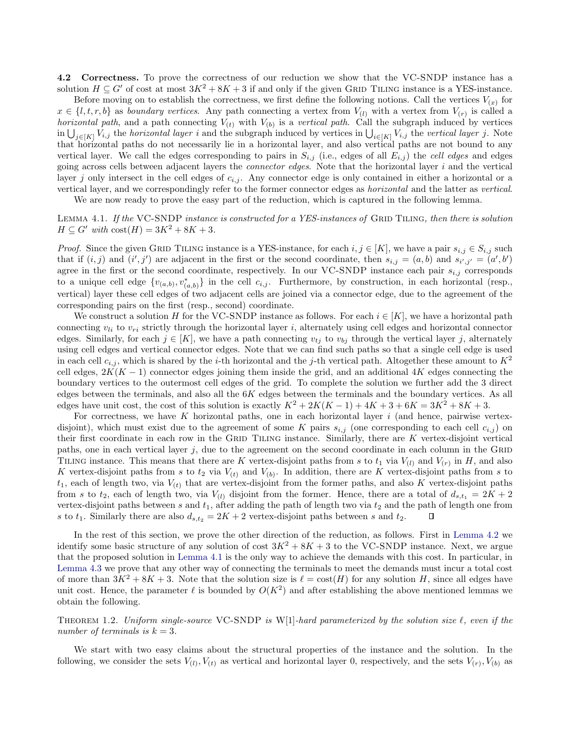4.2 Correctness. To prove the correctness of our reduction we show that the VC-SNDP instance has a solution  $H \subseteq G'$  of cost at most  $3K^2 + 8K + 3$  if and only if the given GRID TILING instance is a YES-instance.

Before moving on to establish the correctness, we first define the following notions. Call the vertices  $V_{(x)}$  for  $x \in \{l, t, r, b\}$  as boundary vertices. Any path connecting a vertex from  $V_{(l)}$  with a vertex from  $V_{(r)}$  is called a *horizontal path*, and a path connecting  $V_{(t)}$  with  $V_{(b)}$  is a vertical path. Call the subgraph induced by vertices in  $\bigcup_{j\in[K]}V_{i,j}$  the *horizontal layer i* and the subgraph induced by vertices in  $\bigcup_{i\in[K]}V_{i,j}$  the *vertical layer j*. Note that horizontal paths do not necessarily lie in a horizontal layer, and also vertical paths are not bound to any vertical layer. We call the edges corresponding to pairs in  $S_{i,j}$  (i.e., edges of all  $E_{i,j}$ ) the *cell edges* and edges going across cells between adjacent layers the *connector edges*. Note that the horizontal layer  $i$  and the vertical layer j only intersect in the cell edges of  $c_{i,j}$ . Any connector edge is only contained in either a horizontal or a vertical layer, and we correspondingly refer to the former connector edges as horizontal and the latter as vertical.

We are now ready to prove the easy part of the reduction, which is captured in the following lemma.

<span id="page-12-0"></span>LEMMA 4.1. If the VC-SNDP instance is constructed for a YES-instances of GRID TILING, then there is solution  $H \subseteq G'$  with  $\text{cost}(H) = 3K^2 + 8K + 3$ .

*Proof.* Since the given GRID TILING instance is a YES-instance, for each  $i, j \in [K]$ , we have a pair  $s_{i,j} \in S_{i,j}$  such that if  $(i, j)$  and  $(i', j')$  are adjacent in the first or the second coordinate, then  $s_{i,j} = (a, b)$  and  $s_{i',j'} = (a', b')$ agree in the first or the second coordinate, respectively. In our VC-SNDP instance each pair  $s_{i,j}$  corresponds to a unique cell edge  $\{v_{(a,b)}, v_{(a,b)}^*\}$  in the cell  $c_{i,j}$ . Furthermore, by construction, in each horizontal (resp., vertical) layer these cell edges of two adjacent cells are joined via a connector edge, due to the agreement of the corresponding pairs on the first (resp., second) coordinate.

We construct a solution H for the VC-SNDP instance as follows. For each  $i \in [K]$ , we have a horizontal path connecting  $v_{li}$  to  $v_{ri}$  strictly through the horizontal layer i, alternately using cell edges and horizontal connector edges. Similarly, for each  $j \in [K]$ , we have a path connecting  $v_{tj}$  to  $v_{bj}$  through the vertical layer j, alternately using cell edges and vertical connector edges. Note that we can find such paths so that a single cell edge is used in each cell  $c_{i,j}$ , which is shared by the *i*-th horizontal and the *j*-th vertical path. Altogether these amount to  $K^2$ cell edges,  $2K(K-1)$  connector edges joining them inside the grid, and an additional 4K edges connecting the boundary vertices to the outermost cell edges of the grid. To complete the solution we further add the 3 direct edges between the terminals, and also all the 6K edges between the terminals and the boundary vertices. As all edges have unit cost, the cost of this solution is exactly  $K^2 + 2K(K-1) + 4K + 3 + 6K = 3K^2 + 8K + 3$ .

For correctness, we have K horizontal paths, one in each horizontal layer  $i$  (and hence, pairwise vertexdisjoint), which must exist due to the agreement of some K pairs  $s_{i,j}$  (one corresponding to each cell  $c_{i,j}$ ) on their first coordinate in each row in the GRID TILING instance. Similarly, there are  $K$  vertex-disjoint vertical paths, one in each vertical layer  $j$ , due to the agreement on the second coordinate in each column in the GRID TILING instance. This means that there are K vertex-disjoint paths from s to  $t_1$  via  $V_{(l)}$  and  $V_{(r)}$  in H, and also K vertex-disjoint paths from s to  $t_2$  via  $V_{(t)}$  and  $V_{(b)}$ . In addition, there are K vertex-disjoint paths from s to  $t_1$ , each of length two, via  $V_{(t)}$  that are vertex-disjoint from the former paths, and also K vertex-disjoint paths from s to  $t_2$ , each of length two, via  $V_{(l)}$  disjoint from the former. Hence, there are a total of  $d_{s,t_1} = 2K + 2$ vertex-disjoint paths between s and  $t_1$ , after adding the path of length two via  $t_2$  and the path of length one from s to  $t_1$ . Similarly there are also  $d_{s,t_2} = 2K + 2$  vertex-disjoint paths between s and  $t_2$ . П

In the rest of this section, we prove the other direction of the reduction, as follows. First in [Lemma 4.2](#page-13-0) we identify some basic structure of any solution of cost  $3K^2 + 8K + 3$  to the VC-SNDP instance. Next, we argue that the proposed solution in [Lemma 4.1](#page-12-0) is the only way to achieve the demands with this cost. In particular, in [Lemma 4.3](#page-14-1) we prove that any other way of connecting the terminals to meet the demands must incur a total cost of more than  $3K^2 + 8K + 3$ . Note that the solution size is  $\ell = \text{cost}(H)$  for any solution H, since all edges have unit cost. Hence, the parameter  $\ell$  is bounded by  $O(K^2)$  and after establishing the above mentioned lemmas we obtain the following.

THEOREM 1.2. Uniform single-source VC-SNDP is W[1]-hard parameterized by the solution size  $\ell$ , even if the number of terminals is  $k = 3$ .

We start with two easy claims about the structural properties of the instance and the solution. In the following, we consider the sets  $V_{(l)}, V_{(t)}$  as vertical and horizontal layer 0, respectively, and the sets  $V_{(r)}, V_{(b)}$  as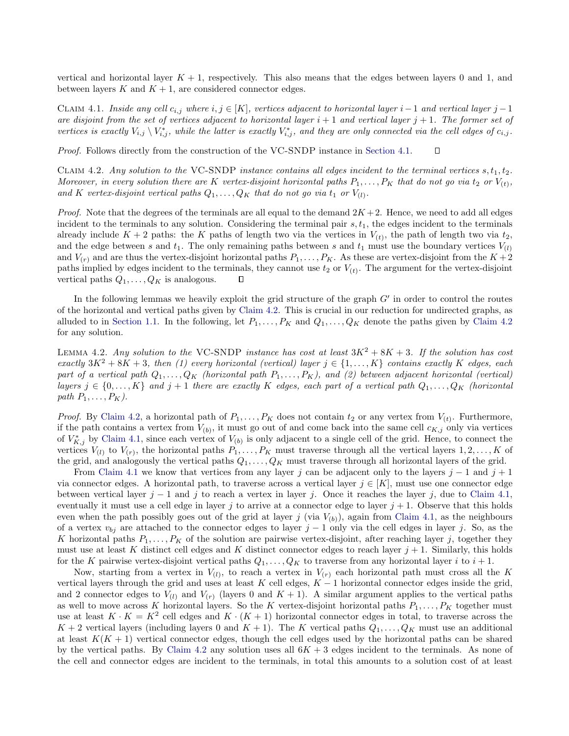vertical and horizontal layer  $K + 1$ , respectively. This also means that the edges between layers 0 and 1, and between layers  $K$  and  $K + 1$ , are considered connector edges.

<span id="page-13-2"></span>CLAIM 4.1. Inside any cell  $c_{i,j}$  where  $i, j \in [K]$ , vertices adjacent to horizontal layer  $i-1$  and vertical layer  $j-1$ are disjoint from the set of vertices adjacent to horizontal layer  $i + 1$  and vertical layer  $j + 1$ . The former set of vertices is exactly  $V_{i,j} \setminus V_{i,j}^*$ , while the latter is exactly  $V_{i,j}^*$ , and they are only connected via the cell edges of  $c_{i,j}$ .

Proof. Follows directly from the construction of the VC-SNDP instance in [Section 4.1.](#page-11-1) О

<span id="page-13-1"></span>CLAIM 4.2. Any solution to the VC-SNDP instance contains all edges incident to the terminal vertices  $s, t_1, t_2$ . Moreover, in every solution there are K vertex-disjoint horizontal paths  $P_1, \ldots, P_K$  that do not go via  $t_2$  or  $V_{(t)}$ , and K vertex-disjoint vertical paths  $Q_1, \ldots, Q_K$  that do not go via  $t_1$  or  $V_{(l)}$ .

*Proof.* Note that the degrees of the terminals are all equal to the demand  $2K + 2$ . Hence, we need to add all edges incident to the terminals to any solution. Considering the terminal pair  $s, t<sub>1</sub>$ , the edges incident to the terminals already include  $K + 2$  paths: the K paths of length two via the vertices in  $V_{(t)}$ , the path of length two via  $t_2$ , and the edge between s and  $t_1$ . The only remaining paths between s and  $t_1$  must use the boundary vertices  $V_{(l)}$ and  $V_{(r)}$  and are thus the vertex-disjoint horizontal paths  $P_1, \ldots, P_K$ . As these are vertex-disjoint from the  $K + 2$ paths implied by edges incident to the terminals, they cannot use  $t_2$  or  $V_{(t)}$ . The argument for the vertex-disjoint vertical paths  $Q_1, \ldots, Q_K$  is analogous. □

In the following lemmas we heavily exploit the grid structure of the graph  $G'$  in order to control the routes of the horizontal and vertical paths given by [Claim 4.2.](#page-13-1) This is crucial in our reduction for undirected graphs, as alluded to in [Section 1.1.](#page-3-0) In the following, let  $P_1, \ldots, P_K$  and  $Q_1, \ldots, Q_K$  denote the paths given by [Claim 4.2](#page-13-1) for any solution.

<span id="page-13-0"></span>LEMMA 4.2. Any solution to the VC-SNDP instance has cost at least  $3K^2 + 8K + 3$ . If the solution has cost exactly  $3K^2 + 8K + 3$ , then (1) every horizontal (vertical) layer  $j \in \{1, ..., K\}$  contains exactly K edges, each part of a vertical path  $Q_1, \ldots, Q_K$  (horizontal path  $P_1, \ldots, P_K$ ), and (2) between adjacent horizontal (vertical) layers  $j \in \{0, ..., K\}$  and  $j + 1$  there are exactly K edges, each part of a vertical path  $Q_1, ..., Q_K$  (horizontal path  $P_1, \ldots, P_K$ ).

*Proof.* By [Claim 4.2,](#page-13-1) a horizontal path of  $P_1, \ldots, P_K$  does not contain  $t_2$  or any vertex from  $V_{(t)}$ . Furthermore, if the path contains a vertex from  $V_{(b)}$ , it must go out of and come back into the same cell  $c_{K,j}$  only via vertices of  $V_{K,j}^*$  by [Claim 4.1,](#page-13-2) since each vertex of  $V_{(b)}$  is only adjacent to a single cell of the grid. Hence, to connect the vertices  $V_{(l)}$  to  $V_{(r)}$ , the horizontal paths  $P_1, \ldots, P_K$  must traverse through all the vertical layers  $1, 2, \ldots, K$  of the grid, and analogously the vertical paths  $Q_1, \ldots, Q_K$  must traverse through all horizontal layers of the grid.

From [Claim 4.1](#page-13-2) we know that vertices from any layer j can be adjacent only to the layers j – 1 and j + 1 via connector edges. A horizontal path, to traverse across a vertical layer  $j \in [K]$ , must use one connector edge between vertical layer  $j - 1$  and j to reach a vertex in layer j. Once it reaches the layer j, due to [Claim 4.1,](#page-13-2) eventually it must use a cell edge in layer j to arrive at a connector edge to layer  $j + 1$ . Observe that this holds even when the path possibly goes out of the grid at layer j (via  $V_{(b)}$ ), again from [Claim 4.1,](#page-13-2) as the neighbours of a vertex  $v_{bi}$  are attached to the connector edges to layer j – 1 only via the cell edges in layer j. So, as the K horizontal paths  $P_1, \ldots, P_K$  of the solution are pairwise vertex-disjoint, after reaching layer j, together they must use at least K distinct cell edges and K distinct connector edges to reach layer  $j + 1$ . Similarly, this holds for the K pairwise vertex-disjoint vertical paths  $Q_1, \ldots, Q_K$  to traverse from any horizontal layer i to  $i + 1$ .

Now, starting from a vertex in  $V_{(l)}$ , to reach a vertex in  $V_{(r)}$  each horizontal path must cross all the K vertical layers through the grid and uses at least K cell edges,  $K - 1$  horizontal connector edges inside the grid, and 2 connector edges to  $V_{(l)}$  and  $V_{(r)}$  (layers 0 and  $K + 1$ ). A similar argument applies to the vertical paths as well to move across K horizontal layers. So the K vertex-disjoint horizontal paths  $P_1, \ldots, P_K$  together must use at least  $K \cdot K = K^2$  cell edges and  $K \cdot (K + 1)$  horizontal connector edges in total, to traverse across the  $K+2$  vertical layers (including layers 0 and  $K+1$ ). The K vertical paths  $Q_1, \ldots, Q_K$  must use an additional at least  $K(K + 1)$  vertical connector edges, though the cell edges used by the horizontal paths can be shared by the vertical paths. By [Claim 4.2](#page-13-1) any solution uses all  $6K + 3$  edges incident to the terminals. As none of the cell and connector edges are incident to the terminals, in total this amounts to a solution cost of at least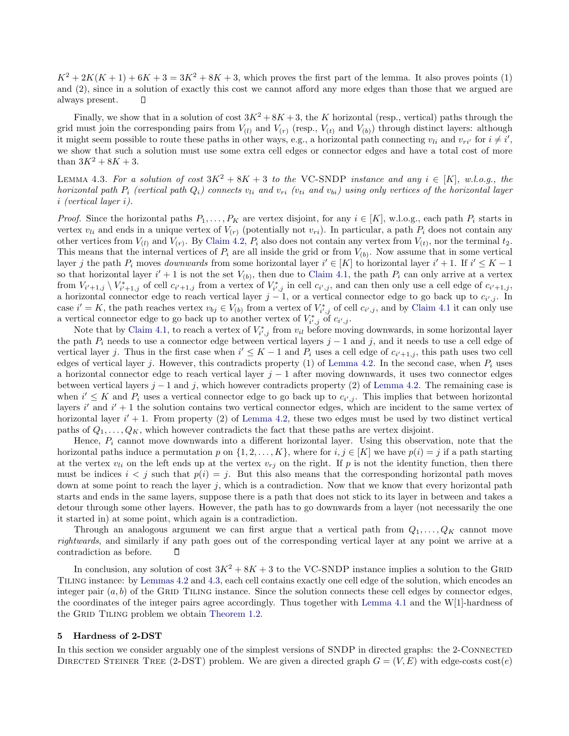$K^2 + 2K(K+1) + 6K + 3 = 3K^2 + 8K + 3$ , which proves the first part of the lemma. It also proves points (1) and (2), since in a solution of exactly this cost we cannot afford any more edges than those that we argued are always present. П

Finally, we show that in a solution of cost  $3K^2 + 8K + 3$ , the K horizontal (resp., vertical) paths through the grid must join the corresponding pairs from  $V_{(l)}$  and  $V_{(r)}$  (resp.,  $V_{(t)}$  and  $V_{(b)}$ ) through distinct layers: although it might seem possible to route these paths in other ways, e.g., a horizontal path connecting  $v_{li}$  and  $v_{ri'}$  for  $i \neq i'$ , we show that such a solution must use some extra cell edges or connector edges and have a total cost of more than  $3K^2 + 8K + 3$ .

<span id="page-14-1"></span>LEMMA 4.3. For a solution of cost  $3K^2 + 8K + 3$  to the VC-SNDP instance and any  $i \in [K]$ , w.l.o.g., the horizontal path  $P_i$  (vertical path  $Q_i$ ) connects  $v_{li}$  and  $v_{ri}$  ( $v_{ti}$  and  $v_{bi}$ ) using only vertices of the horizontal layer i (vertical layer i).

*Proof.* Since the horizontal paths  $P_1, \ldots, P_K$  are vertex disjoint, for any  $i \in [K]$ , w.l.o.g., each path  $P_i$  starts in vertex  $v_{li}$  and ends in a unique vertex of  $V_{(r)}$  (potentially not  $v_{ri}$ ). In particular, a path  $P_i$  does not contain any other vertices from  $V_{(l)}$  and  $V_{(r)}$ . By [Claim 4.2,](#page-13-1)  $P_i$  also does not contain any vertex from  $V_{(t)}$ , nor the terminal  $t_2$ . This means that the internal vertices of  $P_i$  are all inside the grid or from  $V_{(b)}$ . Now assume that in some vertical layer j the path  $P_i$  moves *downwards* from some horizontal layer  $i' \in [K]$  to horizontal layer  $i' + 1$ . If  $i' \leq K - 1$ so that horizontal layer  $i' + 1$  is not the set  $V_{(b)}$ , then due to [Claim 4.1,](#page-13-2) the path  $P_i$  can only arrive at a vertex from  $V_{i'+1,j} \setminus V_{i'+1,j}^*$  of cell  $c_{i'+1,j}$  from a vertex of  $V_{i',j}^*$  in cell  $c_{i',j}$ , and can then only use a cell edge of  $c_{i'+1,j}$ , a horizontal connector edge to reach vertical layer  $j-1$ , or a vertical connector edge to go back up to  $c_{i',j}$ . In case  $i' = K$ , the path reaches vertex  $v_{bj} \in V_{(b)}$  from a vertex of  $V^*_{i',j}$  of cell  $c_{i',j}$ , and by [Claim 4.1](#page-13-2) it can only use a vertical connector edge to go back up to another vertex of  $V_{i',j}^*$  of  $c_{i',j}$ .

Note that by [Claim 4.1,](#page-13-2) to reach a vertex of  $V_{i',j}^*$  from  $v_{il}$  before moving downwards, in some horizontal layer the path  $P_i$  needs to use a connector edge between vertical layers  $j-1$  and j, and it needs to use a cell edge of vertical layer j. Thus in the first case when  $i' \leq K - 1$  and  $P_i$  uses a cell edge of  $c_{i'+1,j}$ , this path uses two cell edges of vertical layer j. However, this contradicts property (1) of [Lemma 4.2.](#page-13-0) In the second case, when  $P_i$  uses a horizontal connector edge to reach vertical layer  $j - 1$  after moving downwards, it uses two connector edges between vertical layers  $j-1$  and j, which however contradicts property (2) of [Lemma 4.2.](#page-13-0) The remaining case is when  $i' \leq K$  and  $P_i$  uses a vertical connector edge to go back up to  $c_{i',j}$ . This implies that between horizontal layers  $i'$  and  $i' + 1$  the solution contains two vertical connector edges, which are incident to the same vertex of horizontal layer  $i' + 1$ . From property (2) of [Lemma 4.2,](#page-13-0) these two edges must be used by two distinct vertical paths of  $Q_1, \ldots, Q_K$ , which however contradicts the fact that these paths are vertex disjoint.

Hence,  $P_i$  cannot move downwards into a different horizontal layer. Using this observation, note that the horizontal paths induce a permutation p on  $\{1, 2, ..., K\}$ , where for  $i, j \in [K]$  we have  $p(i) = j$  if a path starting at the vertex  $v_{li}$  on the left ends up at the vertex  $v_{rj}$  on the right. If p is not the identity function, then there must be indices  $i < j$  such that  $p(i) = j$ . But this also means that the corresponding horizontal path moves down at some point to reach the layer  $j$ , which is a contradiction. Now that we know that every horizontal path starts and ends in the same layers, suppose there is a path that does not stick to its layer in between and takes a detour through some other layers. However, the path has to go downwards from a layer (not necessarily the one it started in) at some point, which again is a contradiction.

Through an analogous argument we can first argue that a vertical path from  $Q_1, \ldots, Q_K$  cannot move rightwards, and similarly if any path goes out of the corresponding vertical layer at any point we arrive at a contradiction as before.  $\Box$ 

In conclusion, any solution of cost  $3K^2 + 8K + 3$  to the VC-SNDP instance implies a solution to the GRID Tiling instance: by [Lemmas 4.2](#page-13-0) and [4.3,](#page-14-1) each cell contains exactly one cell edge of the solution, which encodes an integer pair  $(a, b)$  of the GRID TILING instance. Since the solution connects these cell edges by connector edges, the coordinates of the integer pairs agree accordingly. Thus together with [Lemma 4.1](#page-12-0) and the W[1]-hardness of the GRID TILING problem we obtain [Theorem 1.2.](#page-2-0)

#### <span id="page-14-0"></span>5 Hardness of 2-DST

In this section we consider arguably one of the simplest versions of SNDP in directed graphs: the 2-CONNECTED DIRECTED STEINER TREE (2-DST) problem. We are given a directed graph  $G = (V, E)$  with edge-costs cost(e)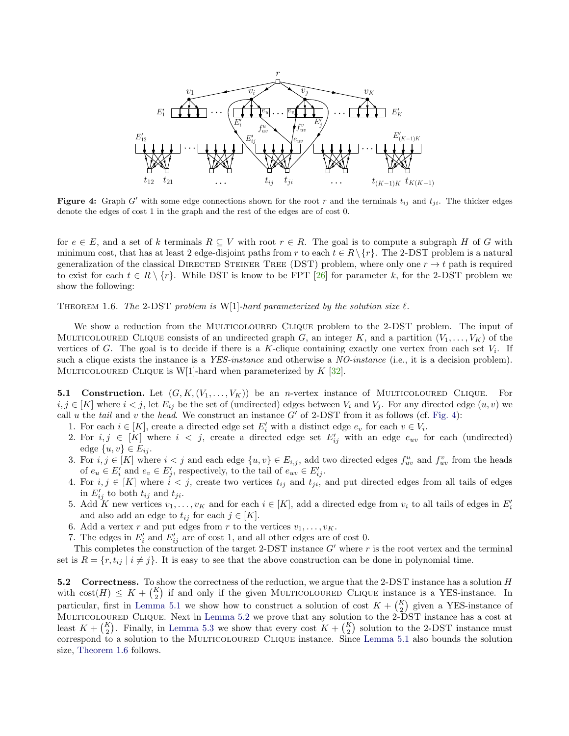<span id="page-15-0"></span>

Figure 4: Graph G' with some edge connections shown for the root r and the terminals  $t_{ij}$  and  $t_{ji}$ . The thicker edges denote the edges of cost 1 in the graph and the rest of the edges are of cost 0.

for  $e \in E$ , and a set of k terminals  $R \subseteq V$  with root  $r \in R$ . The goal is to compute a subgraph H of G with minimum cost, that has at least 2 edge-disjoint paths from r to each  $t \in R \setminus \{r\}$ . The 2-DST problem is a natural generalization of the classical DIRECTED STEINER TREE (DST) problem, where only one  $r \to t$  path is required to exist for each  $t \in R \setminus \{r\}$ . While DST is know to be FPT [\[26\]](#page-18-4) for parameter k, for the 2-DST problem we show the following:

THEOREM 1.6. The 2-DST problem is W[1]-hard parameterized by the solution size  $\ell$ .

We show a reduction from the MULTICOLOURED CLIQUE problem to the 2-DST problem. The input of MULTICOLOURED CLIQUE consists of an undirected graph G, an integer K, and a partition  $(V_1, \ldots, V_K)$  of the vertices of G. The goal is to decide if there is a K-clique containing exactly one vertex from each set  $V_i$ . If such a clique exists the instance is a YES-instance and otherwise a NO-instance (i.e., it is a decision problem). MULTICOLOURED CLIQUE is W[1]-hard when parameterized by  $K$  [\[32\]](#page-18-19).

5.1 Construction. Let  $(G, K, (V_1, \ldots, V_K))$  be an *n*-vertex instance of MULTICOLOURED CLIQUE. For  $i, j \in [K]$  where  $i < j$ , let  $E_{ij}$  be the set of (undirected) edges between  $V_i$  and  $V_j$ . For any directed edge  $(u, v)$  we call u the tail and v the head. We construct an instance  $G'$  of 2-DST from it as follows (cf. [Fig. 4\)](#page-15-0):

- 1. For each  $i \in [K]$ , create a directed edge set  $E'_i$  with a distinct edge  $e_v$  for each  $v \in V_i$ .
- 2. For  $i, j \in [K]$  where  $i < j$ , create a directed edge set  $E'_{ij}$  with an edge  $e_{uv}$  for each (undirected) edge  $\{u, v\} \in E_{ij}$ .
- 3. For  $i, j \in [K]$  where  $i < j$  and each edge  $\{u, v\} \in E_{i,j}$ , add two directed edges  $f_{uv}^u$  and  $f_{uv}^v$  from the heads of  $e_u \in E'_i$  and  $e_v \in E'_j$ , respectively, to the tail of  $e_{uv} \in E'_{ij}$ .
- 4. For  $i, j \in [K]$  where  $i < j$ , create two vertices  $t_{ij}$  and  $t_{ji}$ , and put directed edges from all tails of edges in  $E'_{ij}$  to both  $t_{ij}$  and  $t_{ji}$ .
- 5. Add K new vertices  $v_1, \ldots, v_K$  and for each  $i \in [K]$ , add a directed edge from  $v_i$  to all tails of edges in  $E'_i$ and also add an edge to  $t_{ij}$  for each  $j \in [K]$ .
- 6. Add a vertex r and put edges from r to the vertices  $v_1, \ldots, v_K$ .
- 7. The edges in  $E'_i$  and  $E'_{ij}$  are of cost 1, and all other edges are of cost 0.

This completes the construction of the target 2-DST instance  $G'$  where r is the root vertex and the terminal set is  $R = \{r, t_{ij} \mid i \neq j\}$ . It is easy to see that the above construction can be done in polynomial time.

<span id="page-15-1"></span>5.2 Correctness. To show the correctness of the reduction, we argue that the 2-DST instance has a solution  $H$ with  $cost(H) \leq K + {K \choose 2}$  if and only if the given MULTICOLOURED CLIQUE instance is a YES-instance. In particular, first in [Lemma 5.1](#page-15-1) we show how to construct a solution of cost  $K + \binom{K}{2}$  given a YES-instance of MULTICOLOURED CLIQUE. Next in [Lemma 5.2](#page-16-1) we prove that any solution to the  $2-DST$  instance has a cost at least  $K + \binom{K}{2}$ . Finally, in [Lemma 5.3](#page-16-2) we show that every cost  $K + \binom{K}{2}$  solution to the 2-DST instance must correspond to a solution to the MULTICOLOURED CLIQUE instance. Since [Lemma 5.1](#page-15-1) also bounds the solution size, [Theorem 1.6](#page-3-3) follows.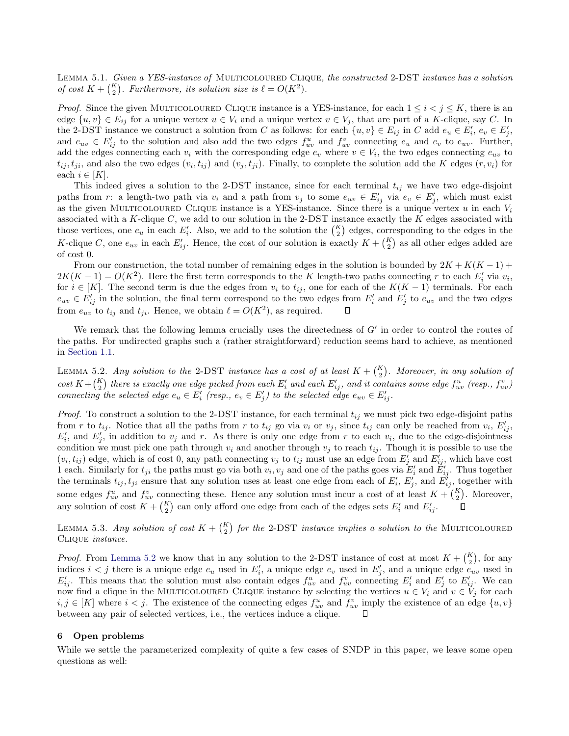LEMMA 5.1. Given a YES-instance of MULTICOLOURED CLIQUE, the constructed 2-DST instance has a solution of cost  $K + {K \choose 2}$ . Furthermore, its solution size is  $\ell = O(K^2)$ .

*Proof.* Since the given MULTICOLOURED CLIQUE instance is a YES-instance, for each  $1 \le i \le j \le K$ , there is an edge  $\{u, v\} \in E_{ij}$  for a unique vertex  $u \in V_i$  and a unique vertex  $v \in V_j$ , that are part of a K-clique, say C. In the 2-DST instance we construct a solution from C as follows: for each  $\{u, v\} \in E_{ij}$  in C add  $e_u \in E'_i$ ,  $e_v \in E'_j$ , and  $e_{uv} \in E'_{ij}$  to the solution and also add the two edges  $f_{uv}^u$  and  $f_{uv}^v$  connecting  $e_u$  and  $e_v$  to  $e_{uv}$ . Further, add the edges connecting each  $v_i$  with the corresponding edge  $e_v$  where  $v \in V_i$ , the two edges connecting  $e_{uv}$  to  $t_{ij}, t_{ji}$ , and also the two edges  $(v_i, t_{ij})$  and  $(v_j, t_{ji})$ . Finally, to complete the solution add the K edges  $(r, v_i)$  for each  $i \in [K]$ .

This indeed gives a solution to the 2-DST instance, since for each terminal  $t_{ij}$  we have two edge-disjoint paths from r: a length-two path via  $v_i$  and a path from  $v_j$  to some  $e_{uv} \in E'_{ij}$  via  $e_v \in E'_{j}$ , which must exist as the given MULTICOLOURED CLIQUE instance is a YES-instance. Since there is a unique vertex u in each  $V_i$ associated with a K-clique  $C$ , we add to our solution in the 2-DST instance exactly the K edges associated with those vertices, one  $e_u$  in each  $E'_i$ . Also, we add to the solution the  $\binom{K}{2}$  edges, corresponding to the edges in the K-clique C, one  $e_{uv}$  in each  $E'_{ij}$ . Hence, the cost of our solution is exactly  $K + {K \choose 2}$  as all other edges added are of cost 0.

From our construction, the total number of remaining edges in the solution is bounded by  $2K + K(K - 1)$  +  $2K(K-1) = O(K^2)$ . Here the first term corresponds to the K length-two paths connecting r to each  $E'_i$  via  $v_i$ , for  $i \in [K]$ . The second term is due the edges from  $v_i$  to  $t_{ij}$ , one for each of the  $K(K-1)$  terminals. For each  $e_{uv} \in E'_{ij}$  in the solution, the final term correspond to the two edges from  $E'_i$  and  $E'_j$  to  $e_{uv}$  and the two edges from  $e_{uv}$  to  $t_{ij}$  and  $t_{ji}$ . Hence, we obtain  $\ell = O(K^2)$ , as required. О

We remark that the following lemma crucially uses the directedness of  $G'$  in order to control the routes of the paths. For undirected graphs such a (rather straightforward) reduction seems hard to achieve, as mentioned in [Section 1.1.](#page-3-0)

<span id="page-16-1"></span>LEMMA 5.2. Any solution to the 2-DST instance has a cost of at least  $K + {K \choose 2}$ . Moreover, in any solution of  $cost\ K + {K \choose 2}$  there is exactly one edge picked from each  $E'_i$  and each  $E'_{ij}$ , and it contains some edge  $f^u_{uv}$  (resp.,  $f^v_{uv}$ ) connecting the selected edge  $e_u \in E'_i$  (resp.,  $e_v \in E'_j$ ) to the selected edge  $e_{uv} \in E'_{ij}$ .

*Proof.* To construct a solution to the 2-DST instance, for each terminal  $t_{ij}$  we must pick two edge-disjoint paths from r to  $t_{ij}$ . Notice that all the paths from r to  $t_{ij}$  go via  $v_i$  or  $v_j$ , since  $t_{ij}$  can only be reached from  $v_i$ ,  $E'_{ij}$ ,  $E'_i$ , and  $E'_j$ , in addition to  $v_j$  and r. As there is only one edge from r to each  $v_i$ , due to the edge-disjointness condition we must pick one path through  $v_i$  and another through  $v_j$  to reach  $t_{ij}$ . Though it is possible to use the  $(v_i, t_{ij})$  edge, which is of cost 0, any path connecting  $v_j$  to  $t_{ij}$  must use an edge from  $E'_j$  and  $E'_{ij}$ , which have cost 1 each. Similarly for  $t_{ji}$  the paths must go via both  $v_i, v_j$  and one of the paths goes via  $E'_i$  and  $E'_i$ . Thus together the terminals  $t_{ij}$ ,  $t_{ji}$  ensure that any solution uses at least one edge from each of  $E'_i$ ,  $E'_j$ , and  $E'_{ij}$ , together with some edges  $f_{uv}^u$  and  $f_{uv}^v$  connecting these. Hence any solution must incur a cost of at least  $K + \binom{K}{2}$ . Moreover, any solution of cost  $K + \binom{K}{2}$  can only afford one edge from each of the edges sets  $E'_i$  and  $E'_{ij}$ .

<span id="page-16-2"></span>LEMMA 5.3. Any solution of cost  $K + \binom{K}{2}$  for the 2-DST instance implies a solution to the MULTICOLOURED Clique instance.

*Proof.* From [Lemma 5.2](#page-16-1) we know that in any solution to the 2-DST instance of cost at most  $K + {K \choose 2}$ , for any indices  $i < j$  there is a unique edge  $e_u$  used in  $E'_i$ , a unique edge  $e_v$  used in  $E'_j$ , and a unique edge  $e_{uv}$  used in  $E'_{ij}$ . This means that the solution must also contain edges  $f_{uv}^u$  and  $f_{uv}^v$  connecting  $E'_i$  and  $E'_j$  to  $E'_{ij}$ . We can now find a clique in the MULTICOLOURED CLIQUE instance by selecting the vertices  $u \in V_i$  and  $v \in V_j$  for each  $i, j \in [K]$  where  $i < j$ . The existence of the connecting edges  $f_{uv}^u$  and  $f_{uv}^v$  imply the existence of an edge  $\{u, v\}$ between any pair of selected vertices, i.e., the vertices induce a clique. О

# <span id="page-16-0"></span>6 Open problems

While we settle the parameterized complexity of quite a few cases of SNDP in this paper, we leave some open questions as well: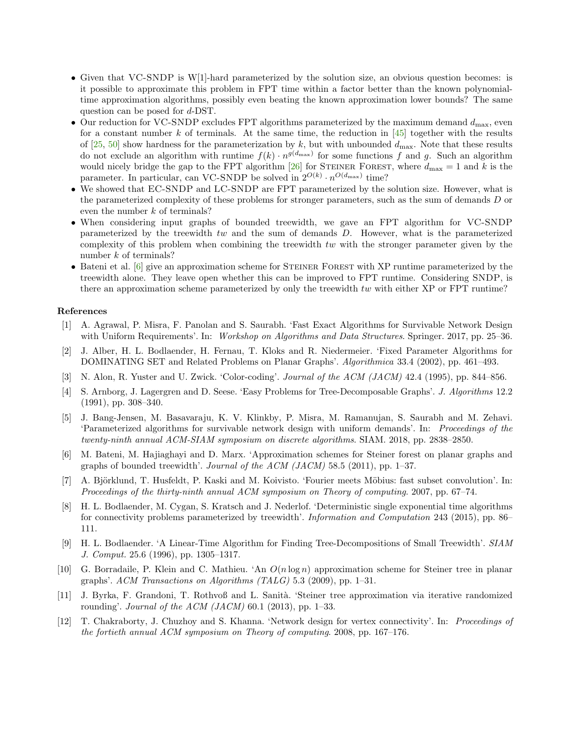- Given that VC-SNDP is W[1]-hard parameterized by the solution size, an obvious question becomes: is it possible to approximate this problem in FPT time within a factor better than the known polynomialtime approximation algorithms, possibly even beating the known approximation lower bounds? The same question can be posed for d-DST.
- Our reduction for VC-SNDP excludes FPT algorithms parameterized by the maximum demand  $d_{\text{max}}$ , even for a constant number k of terminals. At the same time, the reduction in  $[45]$  together with the results of [\[25,](#page-18-5) [50\]](#page-19-14) show hardness for the parameterization by k, but with unbounded  $d_{\text{max}}$ . Note that these results do not exclude an algorithm with runtime  $f(k) \cdot n^{g(d_{\text{max}})}$  for some functions f and g. Such an algorithm would nicely bridge the gap to the FPT algorithm [\[26\]](#page-18-4) for STEINER FOREST, where  $d_{\text{max}} = 1$  and k is the parameter. In particular, can VC-SNDP be solved in  $2^{O(k)} \cdot n^{O(d_{\text{max}})}$  time?
- We showed that EC-SNDP and LC-SNDP are FPT parameterized by the solution size. However, what is the parameterized complexity of these problems for stronger parameters, such as the sum of demands D or even the number k of terminals?
- When considering input graphs of bounded treewidth, we gave an FPT algorithm for VC-SNDP parameterized by the treewidth  $tw$  and the sum of demands  $D$ . However, what is the parameterized complexity of this problem when combining the treewidth tw with the stronger parameter given by the number  $k$  of terminals?
- Bateni et al. [\[6\]](#page-17-4) give an approximation scheme for STEINER FOREST with XP runtime parameterized by the treewidth alone. They leave open whether this can be improved to FPT runtime. Considering SNDP, is there an approximation scheme parameterized by only the treewidth tw with either XP or FPT runtime?

# References

- <span id="page-17-7"></span>[1] A. Agrawal, P. Misra, F. Panolan and S. Saurabh. 'Fast Exact Algorithms for Survivable Network Design with Uniform Requirements'. In: Workshop on Algorithms and Data Structures. Springer. 2017, pp. 25–36.
- <span id="page-17-11"></span>[2] J. Alber, H. L. Bodlaender, H. Fernau, T. Kloks and R. Niedermeier. 'Fixed Parameter Algorithms for DOMINATING SET and Related Problems on Planar Graphs'. Algorithmica 33.4 (2002), pp. 461–493.
- <span id="page-17-6"></span>[3] N. Alon, R. Yuster and U. Zwick. 'Color-coding'. Journal of the ACM (JACM) 42.4 (1995), pp. 844–856.
- <span id="page-17-9"></span>[4] S. Arnborg, J. Lagergren and D. Seese. 'Easy Problems for Tree-Decomposable Graphs'. J. Algorithms 12.2 (1991), pp. 308–340.
- <span id="page-17-2"></span>[5] J. Bang-Jensen, M. Basavaraju, K. V. Klinkby, P. Misra, M. Ramanujan, S. Saurabh and M. Zehavi. 'Parameterized algorithms for survivable network design with uniform demands'. In: Proceedings of the twenty-ninth annual ACM-SIAM symposium on discrete algorithms. SIAM. 2018, pp. 2838–2850.
- <span id="page-17-4"></span>[6] M. Bateni, M. Hajiaghayi and D. Marx. 'Approximation schemes for Steiner forest on planar graphs and graphs of bounded treewidth'. Journal of the  $ACM$  (JACM) 58.5 (2011), pp. 1–37.
- <span id="page-17-1"></span>[7] A. Björklund, T. Husfeldt, P. Kaski and M. Koivisto. 'Fourier meets Möbius: fast subset convolution'. In: Proceedings of the thirty-ninth annual ACM symposium on Theory of computing. 2007, pp. 67–74.
- <span id="page-17-5"></span>[8] H. L. Bodlaender, M. Cygan, S. Kratsch and J. Nederlof. 'Deterministic single exponential time algorithms for connectivity problems parameterized by treewidth'. Information and Computation 243 (2015), pp. 86– 111.
- <span id="page-17-10"></span>[9] H. L. Bodlaender. 'A Linear-Time Algorithm for Finding Tree-Decompositions of Small Treewidth'. SIAM J. Comput. 25.6 (1996), pp. 1305–1317.
- <span id="page-17-3"></span>[10] G. Borradaile, P. Klein and C. Mathieu. 'An  $O(n \log n)$  approximation scheme for Steiner tree in planar graphs'. ACM Transactions on Algorithms (TALG)  $5.3$  (2009), pp. 1–31.
- <span id="page-17-8"></span>[11] J. Byrka, F. Grandoni, T. Rothvoß and L. Sanità. 'Steiner tree approximation via iterative randomized rounding'. Journal of the ACM  $(JACM)$  60.1 (2013), pp. 1–33.
- <span id="page-17-0"></span>[12] T. Chakraborty, J. Chuzhoy and S. Khanna. 'Network design for vertex connectivity'. In: Proceedings of the fortieth annual ACM symposium on Theory of computing. 2008, pp. 167–176.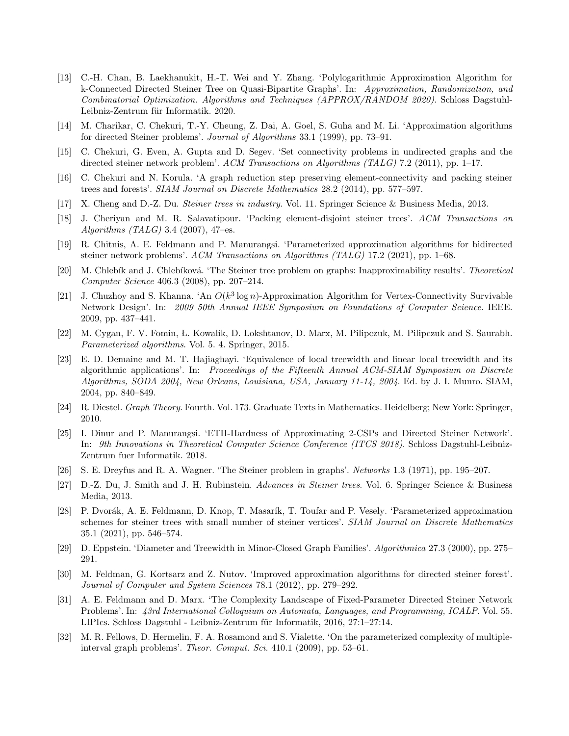- <span id="page-18-10"></span>[13] C.-H. Chan, B. Laekhanukit, H.-T. Wei and Y. Zhang. 'Polylogarithmic Approximation Algorithm for k-Connected Directed Steiner Tree on Quasi-Bipartite Graphs'. In: Approximation, Randomization, and Combinatorial Optimization. Algorithms and Techniques (APPROX/RANDOM 2020). Schloss Dagstuhl-Leibniz-Zentrum für Informatik. 2020.
- <span id="page-18-9"></span>[14] M. Charikar, C. Chekuri, T.-Y. Cheung, Z. Dai, A. Goel, S. Guha and M. Li. 'Approximation algorithms for directed Steiner problems'. Journal of Algorithms 33.1 (1999), pp. 73–91.
- <span id="page-18-6"></span>[15] C. Chekuri, G. Even, A. Gupta and D. Segev. 'Set connectivity problems in undirected graphs and the directed steiner network problem'. ACM Transactions on Algorithms (TALG) 7.2 (2011), pp. 1–17.
- <span id="page-18-11"></span>[16] C. Chekuri and N. Korula. 'A graph reduction step preserving element-connectivity and packing steiner trees and forests'. SIAM Journal on Discrete Mathematics 28.2 (2014), pp. 577–597.
- <span id="page-18-0"></span>[17] X. Cheng and D.-Z. Du. Steiner trees in industry. Vol. 11. Springer Science & Business Media, 2013.
- <span id="page-18-15"></span>[18] J. Cheriyan and M. R. Salavatipour. 'Packing element-disjoint steiner trees'. ACM Transactions on Algorithms (TALG) 3.4 (2007), 47–es.
- <span id="page-18-13"></span>[19] R. Chitnis, A. E. Feldmann and P. Manurangsi. 'Parameterized approximation algorithms for bidirected steiner network problems'. ACM Transactions on Algorithms (TALG) 17.2 (2021), pp. 1–68.
- <span id="page-18-12"></span>[20] M. Chlebík and J. Chlebíková. 'The Steiner tree problem on graphs: Inapproximability results'. Theoretical Computer Science 406.3 (2008), pp. 207–214.
- <span id="page-18-2"></span>[21] J. Chuzhoy and S. Khanna. 'An  $O(k^3 \log n)$ -Approximation Algorithm for Vertex-Connectivity Survivable Network Design'. In: 2009 50th Annual IEEE Symposium on Foundations of Computer Science. IEEE. 2009, pp. 437–441.
- <span id="page-18-3"></span>[22] M. Cygan, F. V. Fomin, L. Kowalik, D. Lokshtanov, D. Marx, M. Pilipczuk, M. Pilipczuk and S. Saurabh. Parameterized algorithms. Vol. 5. 4. Springer, 2015.
- <span id="page-18-18"></span>[23] E. D. Demaine and M. T. Hajiaghayi. 'Equivalence of local treewidth and linear local treewidth and its algorithmic applications'. In: Proceedings of the Fifteenth Annual ACM-SIAM Symposium on Discrete Algorithms, SODA 2004, New Orleans, Louisiana, USA, January 11-14, 2004. Ed. by J. I. Munro. SIAM, 2004, pp. 840–849.
- <span id="page-18-16"></span>[24] R. Diestel. Graph Theory. Fourth. Vol. 173. Graduate Texts in Mathematics. Heidelberg; New York: Springer, 2010.
- <span id="page-18-5"></span>[25] I. Dinur and P. Manurangsi. 'ETH-Hardness of Approximating 2-CSPs and Directed Steiner Network'. In: 9th Innovations in Theoretical Computer Science Conference (ITCS 2018). Schloss Dagstuhl-Leibniz-Zentrum fuer Informatik. 2018.
- <span id="page-18-4"></span>[26] S. E. Dreyfus and R. A. Wagner. 'The Steiner problem in graphs'. Networks 1.3 (1971), pp. 195–207.
- <span id="page-18-1"></span>[27] D.-Z. Du, J. Smith and J. H. Rubinstein. Advances in Steiner trees. Vol. 6. Springer Science & Business Media, 2013.
- <span id="page-18-14"></span>[28] P. Dvorák, A. E. Feldmann, D. Knop, T. Masarík, T. Toufar and P. Vesely. 'Parameterized approximation schemes for steiner trees with small number of steiner vertices'. SIAM Journal on Discrete Mathematics 35.1 (2021), pp. 546–574.
- <span id="page-18-17"></span>[29] D. Eppstein. 'Diameter and Treewidth in Minor-Closed Graph Families'. Algorithmica 27.3 (2000), pp. 275– 291.
- <span id="page-18-7"></span>[30] M. Feldman, G. Kortsarz and Z. Nutov. 'Improved approximation algorithms for directed steiner forest'. Journal of Computer and System Sciences 78.1 (2012), pp. 279–292.
- <span id="page-18-8"></span>[31] A. E. Feldmann and D. Marx. 'The Complexity Landscape of Fixed-Parameter Directed Steiner Network Problems'. In: 43rd International Colloquium on Automata, Languages, and Programming, ICALP. Vol. 55. LIPIcs. Schloss Dagstuhl - Leibniz-Zentrum für Informatik, 2016, 27:1–27:14.
- <span id="page-18-19"></span>[32] M. R. Fellows, D. Hermelin, F. A. Rosamond and S. Vialette. 'On the parameterized complexity of multipleinterval graph problems'. Theor. Comput. Sci. 410.1 (2009), pp. 53–61.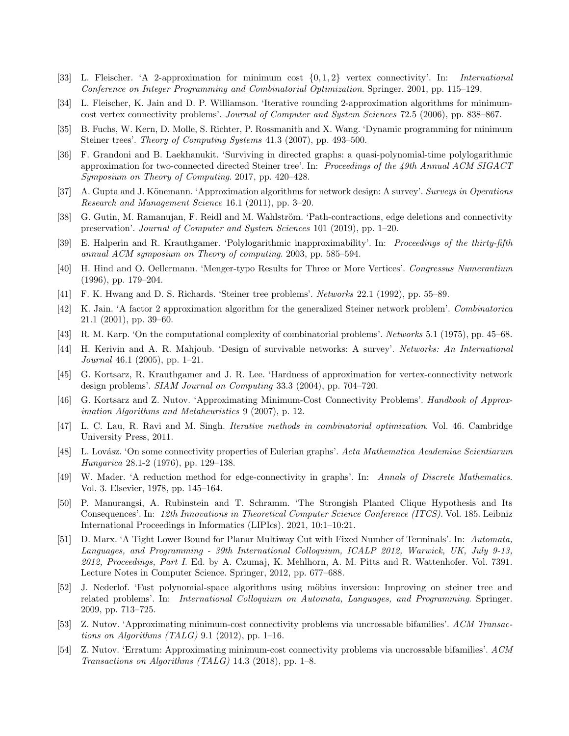- <span id="page-19-15"></span>[33] L. Fleischer. 'A 2-approximation for minimum cost {0, 1, 2} vertex connectivity'. In: International Conference on Integer Programming and Combinatorial Optimization. Springer. 2001, pp. 115–129.
- <span id="page-19-8"></span>[34] L. Fleischer, K. Jain and D. P. Williamson. 'Iterative rounding 2-approximation algorithms for minimumcost vertex connectivity problems'. Journal of Computer and System Sciences 72.5 (2006), pp. 838–867.
- <span id="page-19-9"></span>[35] B. Fuchs, W. Kern, D. Molle, S. Richter, P. Rossmanith and X. Wang. 'Dynamic programming for minimum Steiner trees'. Theory of Computing Systems 41.3 (2007), pp. 493–500.
- <span id="page-19-17"></span>[36] F. Grandoni and B. Laekhanukit. 'Surviving in directed graphs: a quasi-polynomial-time polylogarithmic approximation for two-connected directed Steiner tree'. In: Proceedings of the 49th Annual ACM SIGACT Symposium on Theory of Computing. 2017, pp. 420–428.
- <span id="page-19-1"></span>[37] A. Gupta and J. Könemann. 'Approximation algorithms for network design: A survey'. Surveys in Operations Research and Management Science 16.1 (2011), pp. 3–20.
- <span id="page-19-11"></span>[38] G. Gutin, M. Ramanujan, F. Reidl and M. Wahlström. 'Path-contractions, edge deletions and connectivity preservation'. Journal of Computer and System Sciences 101 (2019), pp. 1–20.
- <span id="page-19-16"></span>[39] E. Halperin and R. Krauthgamer. 'Polylogarithmic inapproximability'. In: Proceedings of the thirty-fifth annual ACM symposium on Theory of computing. 2003, pp. 585–594.
- <span id="page-19-20"></span>[40] H. Hind and O. Oellermann. 'Menger-typo Results for Three or More Vertices'. Congressus Numerantium (1996), pp. 179–204.
- <span id="page-19-2"></span>[41] F. K. Hwang and D. S. Richards. 'Steiner tree problems'. Networks 22.1 (1992), pp. 55–89.
- <span id="page-19-5"></span>[42] K. Jain. 'A factor 2 approximation algorithm for the generalized Steiner network problem'. Combinatorica 21.1 (2001), pp. 39–60.
- <span id="page-19-0"></span>[43] R. M. Karp. 'On the computational complexity of combinatorial problems'. Networks 5.1 (1975), pp. 45–68.
- <span id="page-19-3"></span>[44] H. Kerivin and A. R. Mahjoub. 'Design of survivable networks: A survey'. Networks: An International Journal 46.1 (2005), pp. 1–21.
- <span id="page-19-7"></span>[45] G. Kortsarz, R. Krauthgamer and J. R. Lee. 'Hardness of approximation for vertex-connectivity network design problems'. SIAM Journal on Computing 33.3 (2004), pp. 704–720.
- <span id="page-19-4"></span>[46] G. Kortsarz and Z. Nutov. 'Approximating Minimum-Cost Connectivity Problems'. Handbook of Approximation Algorithms and Metaheuristics 9 (2007), p. 12.
- <span id="page-19-6"></span>[47] L. C. Lau, R. Ravi and M. Singh. Iterative methods in combinatorial optimization. Vol. 46. Cambridge University Press, 2011.
- <span id="page-19-18"></span>[48] L. Lov´asz. 'On some connectivity properties of Eulerian graphs'. Acta Mathematica Academiae Scientiarum Hungarica 28.1-2 (1976), pp. 129–138.
- <span id="page-19-19"></span>[49] W. Mader. 'A reduction method for edge-connectivity in graphs'. In: Annals of Discrete Mathematics. Vol. 3. Elsevier, 1978, pp. 145–164.
- <span id="page-19-14"></span>[50] P. Manurangsi, A. Rubinstein and T. Schramm. 'The Strongish Planted Clique Hypothesis and Its Consequences'. In: 12th Innovations in Theoretical Computer Science Conference (ITCS). Vol. 185. Leibniz International Proceedings in Informatics (LIPIcs). 2021, 10:1–10:21.
- <span id="page-19-21"></span>[51] D. Marx. 'A Tight Lower Bound for Planar Multiway Cut with Fixed Number of Terminals'. In: Automata, Languages, and Programming - 39th International Colloquium, ICALP 2012, Warwick, UK, July 9-13, 2012, Proceedings, Part I. Ed. by A. Czumaj, K. Mehlhorn, A. M. Pitts and R. Wattenhofer. Vol. 7391. Lecture Notes in Computer Science. Springer, 2012, pp. 677–688.
- <span id="page-19-10"></span>[52] J. Nederlof. 'Fast polynomial-space algorithms using möbius inversion: Improving on steiner tree and related problems'. In: International Colloquium on Automata, Languages, and Programming. Springer. 2009, pp. 713–725.
- <span id="page-19-12"></span>[53] Z. Nutov. 'Approximating minimum-cost connectivity problems via uncrossable bifamilies'. ACM Transactions on Algorithms (TALG) 9.1 (2012), pp. 1–16.
- <span id="page-19-13"></span>[54] Z. Nutov. 'Erratum: Approximating minimum-cost connectivity problems via uncrossable bifamilies'. ACM Transactions on Algorithms (TALG) 14.3 (2018), pp. 1–8.